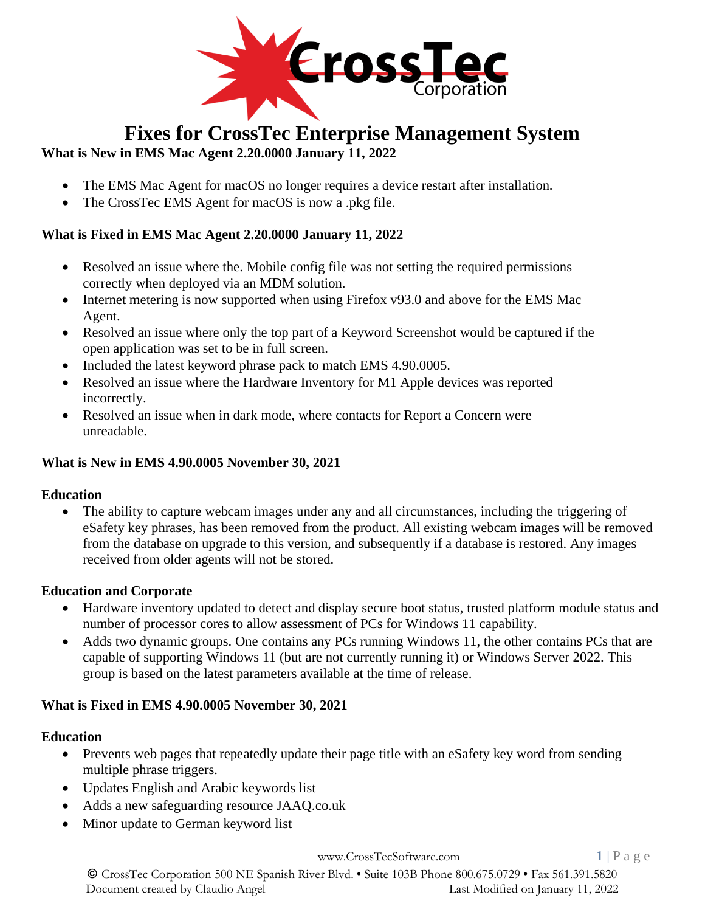

# **Fixes for CrossTec Enterprise Management System**

# **What is New in EMS Mac Agent 2.20.0000 January 11, 2022**

- The EMS Mac Agent for macOS no longer requires a device restart after installation.
- The CrossTec EMS Agent for macOS is now a .pkg file.

# **What is Fixed in EMS Mac Agent 2.20.0000 January 11, 2022**

- Resolved an issue where the. Mobile config file was not setting the required permissions correctly when deployed via an MDM solution.
- Internet metering is now supported when using Firefox v93.0 and above for the EMS Mac Agent.
- Resolved an issue where only the top part of a Keyword Screenshot would be captured if the open application was set to be in full screen.
- Included the latest keyword phrase pack to match EMS 4.90.0005.
- Resolved an issue where the Hardware Inventory for M1 Apple devices was reported incorrectly.
- Resolved an issue when in dark mode, where contacts for Report a Concern were unreadable.

# **What is New in EMS 4.90.0005 November 30, 2021**

## **Education**

• The ability to capture webcam images under any and all circumstances, including the triggering of eSafety key phrases, has been removed from the product. All existing webcam images will be removed from the database on upgrade to this version, and subsequently if a database is restored. Any images received from older agents will not be stored.

# **Education and Corporate**

- Hardware inventory updated to detect and display secure boot status, trusted platform module status and number of processor cores to allow assessment of PCs for Windows 11 capability.
- Adds two dynamic groups. One contains any PCs running Windows 11, the other contains PCs that are capable of supporting Windows 11 (but are not currently running it) or Windows Server 2022. This group is based on the latest parameters available at the time of release.

# **What is Fixed in EMS 4.90.0005 November 30, 2021**

## **Education**

- Prevents web pages that repeatedly update their page title with an eSafety key word from sending multiple phrase triggers.
- Updates English and Arabic keywords list
- Adds a new safeguarding resource JAAQ.co.uk
- Minor update to German keyword list

[www.CrossTecSoftware.com](http://www.crosstecsoftware.com/) 1 | P a g e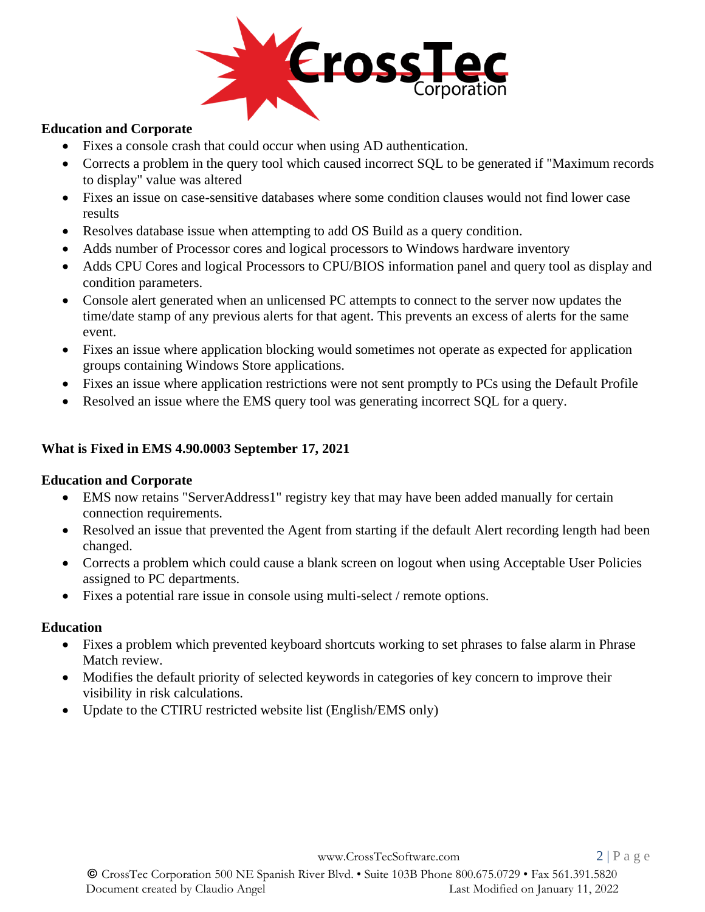

#### **Education and Corporate**

- Fixes a console crash that could occur when using AD authentication.
- Corrects a problem in the query tool which caused incorrect SQL to be generated if "Maximum records to display" value was altered
- Fixes an issue on case-sensitive databases where some condition clauses would not find lower case results
- Resolves database issue when attempting to add OS Build as a query condition.
- Adds number of Processor cores and logical processors to Windows hardware inventory
- Adds CPU Cores and logical Processors to CPU/BIOS information panel and query tool as display and condition parameters.
- Console alert generated when an unlicensed PC attempts to connect to the server now updates the time/date stamp of any previous alerts for that agent. This prevents an excess of alerts for the same event.
- Fixes an issue where application blocking would sometimes not operate as expected for application groups containing Windows Store applications.
- Fixes an issue where application restrictions were not sent promptly to PCs using the Default Profile
- Resolved an issue where the EMS query tool was generating incorrect SQL for a query.

#### **What is Fixed in EMS 4.90.0003 September 17, 2021**

#### **Education and Corporate**

- EMS now retains "ServerAddress1" registry key that may have been added manually for certain connection requirements.
- Resolved an issue that prevented the Agent from starting if the default Alert recording length had been changed.
- Corrects a problem which could cause a blank screen on logout when using Acceptable User Policies assigned to PC departments.
- Fixes a potential rare issue in console using multi-select / remote options.

#### **Education**

- Fixes a problem which prevented keyboard shortcuts working to set phrases to false alarm in Phrase Match review.
- Modifies the default priority of selected keywords in categories of key concern to improve their visibility in risk calculations.
- Update to the CTIRU restricted website list (English/EMS only)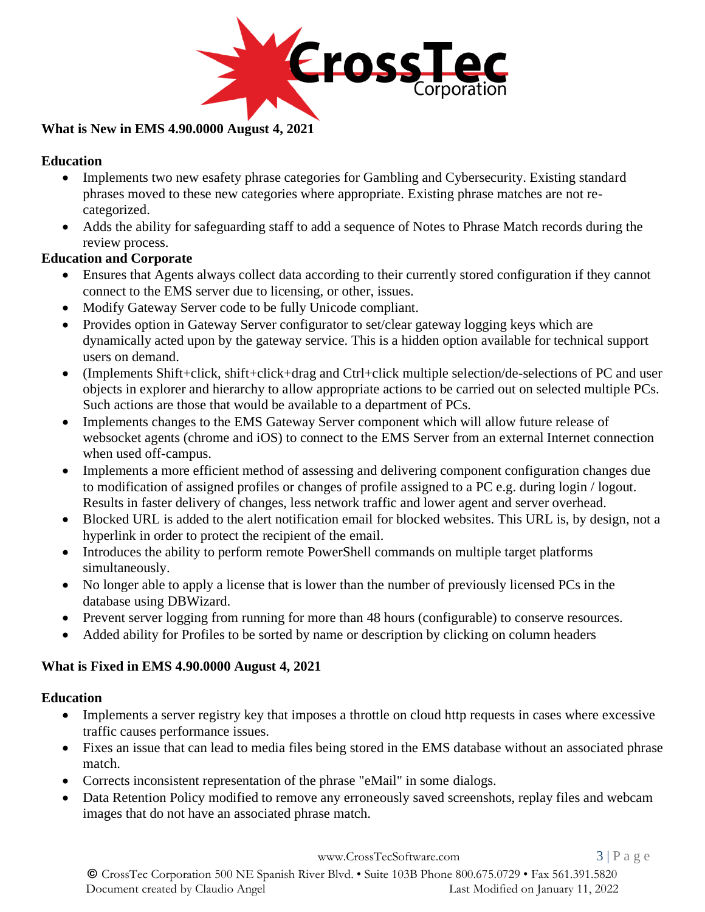

## **What is New in EMS 4.90.0000 August 4, 2021**

## **Education**

- Implements two new esafety phrase categories for Gambling and Cybersecurity. Existing standard phrases moved to these new categories where appropriate. Existing phrase matches are not recategorized.
- Adds the ability for safeguarding staff to add a sequence of Notes to Phrase Match records during the review process.

## **Education and Corporate**

- Ensures that Agents always collect data according to their currently stored configuration if they cannot connect to the EMS server due to licensing, or other, issues.
- Modify Gateway Server code to be fully Unicode compliant.
- Provides option in Gateway Server configurator to set/clear gateway logging keys which are dynamically acted upon by the gateway service. This is a hidden option available for technical support users on demand.
- (Implements Shift+click, shift+click+drag and Ctrl+click multiple selection/de-selections of PC and user objects in explorer and hierarchy to allow appropriate actions to be carried out on selected multiple PCs. Such actions are those that would be available to a department of PCs.
- Implements changes to the EMS Gateway Server component which will allow future release of websocket agents (chrome and iOS) to connect to the EMS Server from an external Internet connection when used off-campus.
- Implements a more efficient method of assessing and delivering component configuration changes due to modification of assigned profiles or changes of profile assigned to a PC e.g. during login / logout. Results in faster delivery of changes, less network traffic and lower agent and server overhead.
- Blocked URL is added to the alert notification email for blocked websites. This URL is, by design, not a hyperlink in order to protect the recipient of the email.
- Introduces the ability to perform remote PowerShell commands on multiple target platforms simultaneously.
- No longer able to apply a license that is lower than the number of previously licensed PCs in the database using DBWizard.
- Prevent server logging from running for more than 48 hours (configurable) to conserve resources.
- Added ability for Profiles to be sorted by name or description by clicking on column headers

## **What is Fixed in EMS 4.90.0000 August 4, 2021**

## **Education**

- Implements a server registry key that imposes a throttle on cloud http requests in cases where excessive traffic causes performance issues.
- Fixes an issue that can lead to media files being stored in the EMS database without an associated phrase match.
- Corrects inconsistent representation of the phrase "eMail" in some dialogs.
- Data Retention Policy modified to remove any erroneously saved screenshots, replay files and webcam images that do not have an associated phrase match.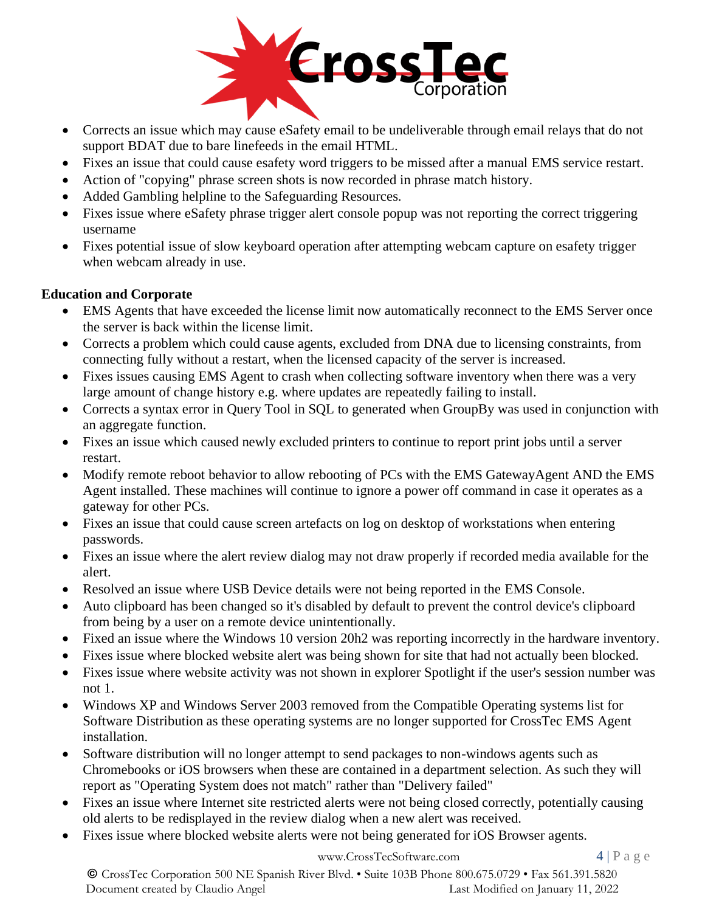

- Corrects an issue which may cause eSafety email to be undeliverable through email relays that do not support BDAT due to bare linefeeds in the email HTML.
- Fixes an issue that could cause esafety word triggers to be missed after a manual EMS service restart.
- Action of "copying" phrase screen shots is now recorded in phrase match history.
- Added Gambling helpline to the Safeguarding Resources.
- Fixes issue where eSafety phrase trigger alert console popup was not reporting the correct triggering username
- Fixes potential issue of slow keyboard operation after attempting webcam capture on esafety trigger when webcam already in use.

## **Education and Corporate**

- EMS Agents that have exceeded the license limit now automatically reconnect to the EMS Server once the server is back within the license limit.
- Corrects a problem which could cause agents, excluded from DNA due to licensing constraints, from connecting fully without a restart, when the licensed capacity of the server is increased.
- Fixes issues causing EMS Agent to crash when collecting software inventory when there was a very large amount of change history e.g. where updates are repeatedly failing to install.
- Corrects a syntax error in Query Tool in SQL to generated when GroupBy was used in conjunction with an aggregate function.
- Fixes an issue which caused newly excluded printers to continue to report print jobs until a server restart.
- Modify remote reboot behavior to allow rebooting of PCs with the EMS GatewayAgent AND the EMS Agent installed. These machines will continue to ignore a power off command in case it operates as a gateway for other PCs.
- Fixes an issue that could cause screen artefacts on log on desktop of workstations when entering passwords.
- Fixes an issue where the alert review dialog may not draw properly if recorded media available for the alert.
- Resolved an issue where USB Device details were not being reported in the EMS Console.
- Auto clipboard has been changed so it's disabled by default to prevent the control device's clipboard from being by a user on a remote device unintentionally.
- Fixed an issue where the Windows 10 version 20h2 was reporting incorrectly in the hardware inventory.
- Fixes issue where blocked website alert was being shown for site that had not actually been blocked.
- Fixes issue where website activity was not shown in explorer Spotlight if the user's session number was not 1.
- Windows XP and Windows Server 2003 removed from the Compatible Operating systems list for Software Distribution as these operating systems are no longer supported for CrossTec EMS Agent installation.
- Software distribution will no longer attempt to send packages to non-windows agents such as Chromebooks or iOS browsers when these are contained in a department selection. As such they will report as "Operating System does not match" rather than "Delivery failed"
- Fixes an issue where Internet site restricted alerts were not being closed correctly, potentially causing old alerts to be redisplayed in the review dialog when a new alert was received.
- Fixes issue where blocked website alerts were not being generated for iOS Browser agents.

## [www.CrossTecSoftware.com](http://www.crosstecsoftware.com/) 4 | P a g e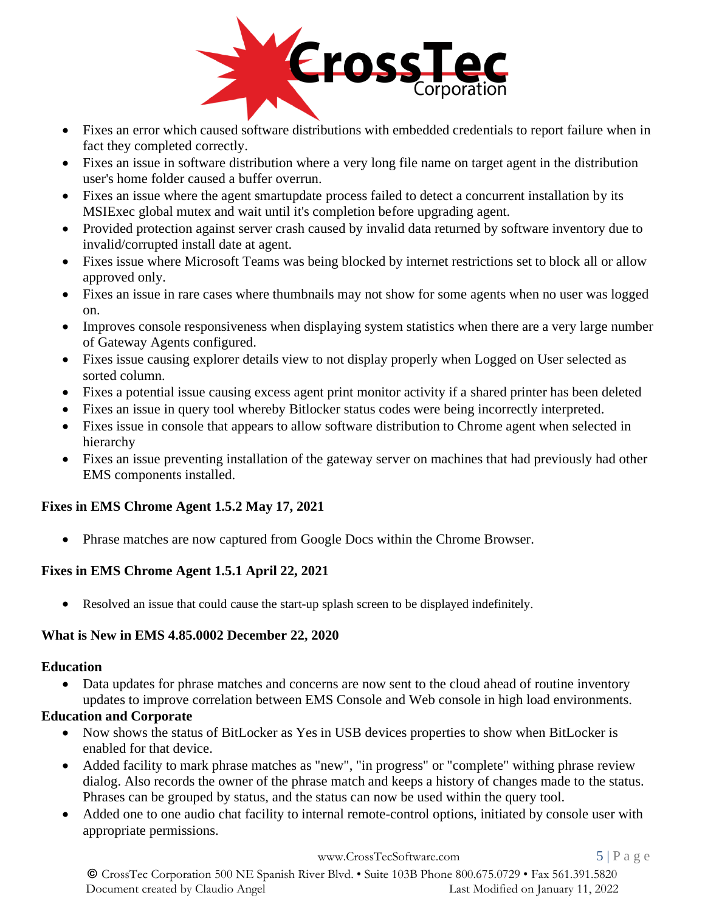

- Fixes an error which caused software distributions with embedded credentials to report failure when in fact they completed correctly.
- Fixes an issue in software distribution where a very long file name on target agent in the distribution user's home folder caused a buffer overrun.
- Fixes an issue where the agent smartupdate process failed to detect a concurrent installation by its MSIExec global mutex and wait until it's completion before upgrading agent.
- Provided protection against server crash caused by invalid data returned by software inventory due to invalid/corrupted install date at agent.
- Fixes issue where Microsoft Teams was being blocked by internet restrictions set to block all or allow approved only.
- Fixes an issue in rare cases where thumbnails may not show for some agents when no user was logged on.
- Improves console responsiveness when displaying system statistics when there are a very large number of Gateway Agents configured.
- Fixes issue causing explorer details view to not display properly when Logged on User selected as sorted column.
- Fixes a potential issue causing excess agent print monitor activity if a shared printer has been deleted
- Fixes an issue in query tool whereby Bitlocker status codes were being incorrectly interpreted.
- Fixes issue in console that appears to allow software distribution to Chrome agent when selected in hierarchy
- Fixes an issue preventing installation of the gateway server on machines that had previously had other EMS components installed.

## **Fixes in EMS Chrome Agent 1.5.2 May 17, 2021**

• Phrase matches are now captured from Google Docs within the Chrome Browser.

## **Fixes in EMS Chrome Agent 1.5.1 April 22, 2021**

• Resolved an issue that could cause the start-up splash screen to be displayed indefinitely.

#### **What is New in EMS 4.85.0002 December 22, 2020**

#### **Education**

Data updates for phrase matches and concerns are now sent to the cloud ahead of routine inventory updates to improve correlation between EMS Console and Web console in high load environments.

#### **Education and Corporate**

- Now shows the status of BitLocker as Yes in USB devices properties to show when BitLocker is enabled for that device.
- Added facility to mark phrase matches as "new", "in progress" or "complete" withing phrase review dialog. Also records the owner of the phrase match and keeps a history of changes made to the status. Phrases can be grouped by status, and the status can now be used within the query tool.
- Added one to one audio chat facility to internal remote-control options, initiated by console user with appropriate permissions.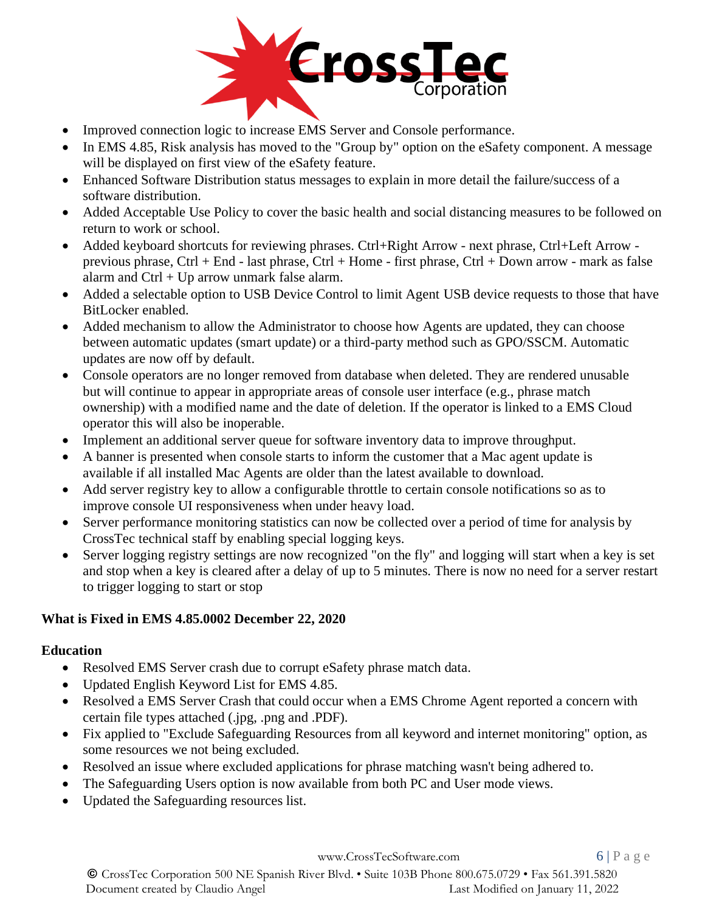

- Improved connection logic to increase EMS Server and Console performance.
- In EMS 4.85, Risk analysis has moved to the "Group by" option on the eSafety component. A message will be displayed on first view of the eSafety feature.
- Enhanced Software Distribution status messages to explain in more detail the failure/success of a software distribution.
- Added Acceptable Use Policy to cover the basic health and social distancing measures to be followed on return to work or school.
- Added keyboard shortcuts for reviewing phrases. Ctrl+Right Arrow next phrase, Ctrl+Left Arrow previous phrase, Ctrl + End - last phrase, Ctrl + Home - first phrase, Ctrl + Down arrow - mark as false alarm and  $Ctrl + Up$  arrow unmark false alarm.
- Added a selectable option to USB Device Control to limit Agent USB device requests to those that have BitLocker enabled.
- Added mechanism to allow the Administrator to choose how Agents are updated, they can choose between automatic updates (smart update) or a third-party method such as GPO/SSCM. Automatic updates are now off by default.
- Console operators are no longer removed from database when deleted. They are rendered unusable but will continue to appear in appropriate areas of console user interface (e.g., phrase match ownership) with a modified name and the date of deletion. If the operator is linked to a EMS Cloud operator this will also be inoperable.
- Implement an additional server queue for software inventory data to improve throughput.
- A banner is presented when console starts to inform the customer that a Mac agent update is available if all installed Mac Agents are older than the latest available to download.
- Add server registry key to allow a configurable throttle to certain console notifications so as to improve console UI responsiveness when under heavy load.
- Server performance monitoring statistics can now be collected over a period of time for analysis by CrossTec technical staff by enabling special logging keys.
- Server logging registry settings are now recognized "on the fly" and logging will start when a key is set and stop when a key is cleared after a delay of up to 5 minutes. There is now no need for a server restart to trigger logging to start or stop

# **What is Fixed in EMS 4.85.0002 December 22, 2020**

# **Education**

- Resolved EMS Server crash due to corrupt eSafety phrase match data.
- Updated English Keyword List for EMS 4.85.
- Resolved a EMS Server Crash that could occur when a EMS Chrome Agent reported a concern with certain file types attached (.jpg, .png and .PDF).
- Fix applied to "Exclude Safeguarding Resources from all keyword and internet monitoring" option, as some resources we not being excluded.
- Resolved an issue where excluded applications for phrase matching wasn't being adhered to.
- The Safeguarding Users option is now available from both PC and User mode views.
- Updated the Safeguarding resources list.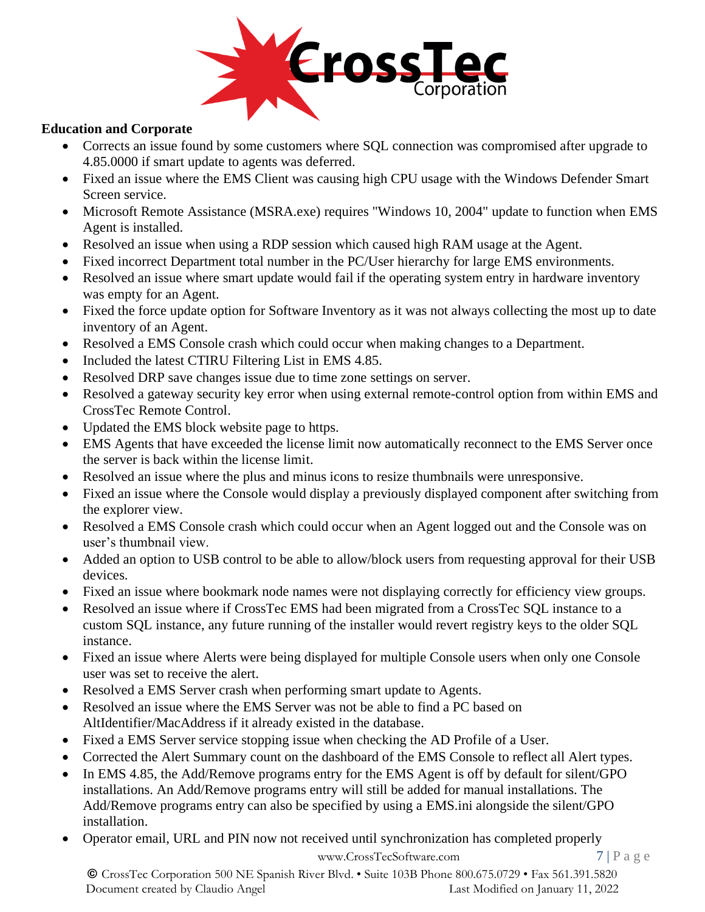

#### **Education and Corporate**

- Corrects an issue found by some customers where SQL connection was compromised after upgrade to 4.85.0000 if smart update to agents was deferred.
- Fixed an issue where the EMS Client was causing high CPU usage with the Windows Defender Smart Screen service.
- Microsoft Remote Assistance (MSRA.exe) requires "Windows 10, 2004" update to function when EMS Agent is installed.
- Resolved an issue when using a RDP session which caused high RAM usage at the Agent.
- Fixed incorrect Department total number in the PC/User hierarchy for large EMS environments.
- Resolved an issue where smart update would fail if the operating system entry in hardware inventory was empty for an Agent.
- Fixed the force update option for Software Inventory as it was not always collecting the most up to date inventory of an Agent.
- Resolved a EMS Console crash which could occur when making changes to a Department.
- Included the latest CTIRU Filtering List in EMS 4.85.
- Resolved DRP save changes issue due to time zone settings on server.
- Resolved a gateway security key error when using external remote-control option from within EMS and CrossTec Remote Control.
- Updated the EMS block website page to https.
- EMS Agents that have exceeded the license limit now automatically reconnect to the EMS Server once the server is back within the license limit.
- Resolved an issue where the plus and minus icons to resize thumbnails were unresponsive.
- Fixed an issue where the Console would display a previously displayed component after switching from the explorer view.
- Resolved a EMS Console crash which could occur when an Agent logged out and the Console was on user's thumbnail view.
- Added an option to USB control to be able to allow/block users from requesting approval for their USB devices.
- Fixed an issue where bookmark node names were not displaying correctly for efficiency view groups.
- Resolved an issue where if CrossTec EMS had been migrated from a CrossTec SQL instance to a custom SQL instance, any future running of the installer would revert registry keys to the older SQL instance.
- Fixed an issue where Alerts were being displayed for multiple Console users when only one Console user was set to receive the alert.
- Resolved a EMS Server crash when performing smart update to Agents.
- Resolved an issue where the EMS Server was not be able to find a PC based on AltIdentifier/MacAddress if it already existed in the database.
- Fixed a EMS Server service stopping issue when checking the AD Profile of a User.
- Corrected the Alert Summary count on the dashboard of the EMS Console to reflect all Alert types.
- In EMS 4.85, the Add/Remove programs entry for the EMS Agent is off by default for silent/GPO installations. An Add/Remove programs entry will still be added for manual installations. The Add/Remove programs entry can also be specified by using a EMS.ini alongside the silent/GPO installation.
- Operator email, URL and PIN now not received until synchronization has completed properly

[www.CrossTecSoftware.com](http://www.crosstecsoftware.com/) 7 | P a g e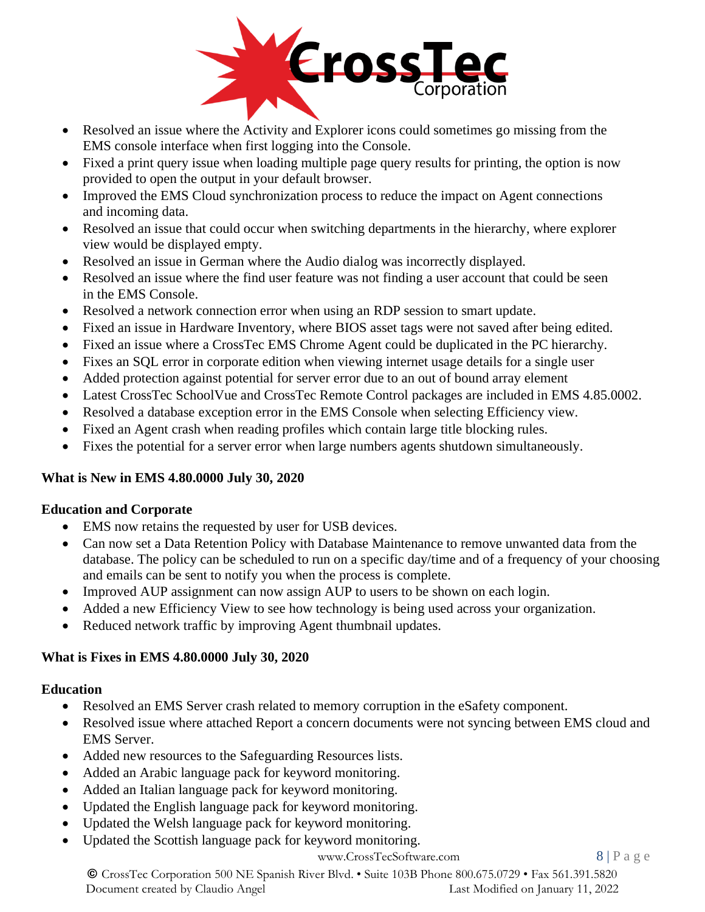

- Resolved an issue where the Activity and Explorer icons could sometimes go missing from the EMS console interface when first logging into the Console.
- Fixed a print query issue when loading multiple page query results for printing, the option is now provided to open the output in your default browser.
- Improved the EMS Cloud synchronization process to reduce the impact on Agent connections and incoming data.
- Resolved an issue that could occur when switching departments in the hierarchy, where explorer view would be displayed empty.
- Resolved an issue in German where the Audio dialog was incorrectly displayed.
- Resolved an issue where the find user feature was not finding a user account that could be seen in the EMS Console.
- Resolved a network connection error when using an RDP session to smart update.
- Fixed an issue in Hardware Inventory, where BIOS asset tags were not saved after being edited.
- Fixed an issue where a CrossTec EMS Chrome Agent could be duplicated in the PC hierarchy.
- Fixes an SQL error in corporate edition when viewing internet usage details for a single user
- Added protection against potential for server error due to an out of bound array element
- Latest CrossTec SchoolVue and CrossTec Remote Control packages are included in EMS 4.85.0002.
- Resolved a database exception error in the EMS Console when selecting Efficiency view.
- Fixed an Agent crash when reading profiles which contain large title blocking rules.
- Fixes the potential for a server error when large numbers agents shutdown simultaneously.

## **What is New in EMS 4.80.0000 July 30, 2020**

## **Education and Corporate**

- EMS now retains the requested by user for USB devices.
- Can now set a Data Retention Policy with Database Maintenance to remove unwanted data from the database. The policy can be scheduled to run on a specific day/time and of a frequency of your choosing and emails can be sent to notify you when the process is complete.
- Improved AUP assignment can now assign AUP to users to be shown on each login.
- Added a new Efficiency View to see how technology is being used across your organization.
- Reduced network traffic by improving Agent thumbnail updates.

## **What is Fixes in EMS 4.80.0000 July 30, 2020**

## **Education**

- Resolved an EMS Server crash related to memory corruption in the eSafety component.
- Resolved issue where attached Report a concern documents were not syncing between EMS cloud and EMS Server.
- Added new resources to the Safeguarding Resources lists.
- Added an Arabic language pack for keyword monitoring.
- Added an Italian language pack for keyword monitoring.
- Updated the English language pack for keyword monitoring.
- Updated the Welsh language pack for keyword monitoring.
- Updated the Scottish language pack for keyword monitoring.

#### [www.CrossTecSoftware.com](http://www.crosstecsoftware.com/) 8 | P a g e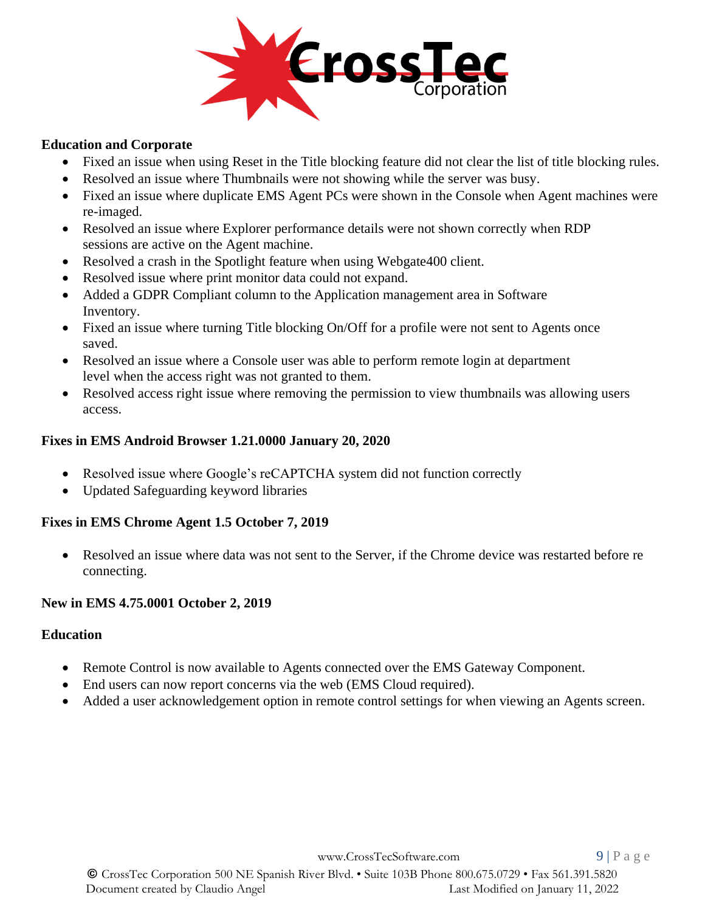

#### **Education and Corporate**

- Fixed an issue when using Reset in the Title blocking feature did not clear the list of title blocking rules.
- Resolved an issue where Thumbnails were not showing while the server was busy.
- Fixed an issue where duplicate EMS Agent PCs were shown in the Console when Agent machines were re-imaged.
- Resolved an issue where Explorer performance details were not shown correctly when RDP sessions are active on the Agent machine.
- Resolved a crash in the Spotlight feature when using Webgate400 client.
- Resolved issue where print monitor data could not expand.
- Added a GDPR Compliant column to the Application management area in Software Inventory.
- Fixed an issue where turning Title blocking On/Off for a profile were not sent to Agents once saved.
- Resolved an issue where a Console user was able to perform remote login at department level when the access right was not granted to them.
- Resolved access right issue where removing the permission to view thumbnails was allowing users access.

#### **Fixes in EMS Android Browser 1.21.0000 January 20, 2020**

- Resolved issue where Google's reCAPTCHA system did not function correctly
- Updated Safeguarding keyword libraries

#### **Fixes in EMS Chrome Agent 1.5 October 7, 2019**

• Resolved an issue where data was not sent to the Server, if the Chrome device was restarted before re connecting.

#### **New in EMS 4.75.0001 October 2, 2019**

#### **Education**

- Remote Control is now available to Agents connected over the EMS Gateway Component.
- End users can now report concerns via the web (EMS Cloud required).
- Added a user acknowledgement option in remote control settings for when viewing an Agents screen.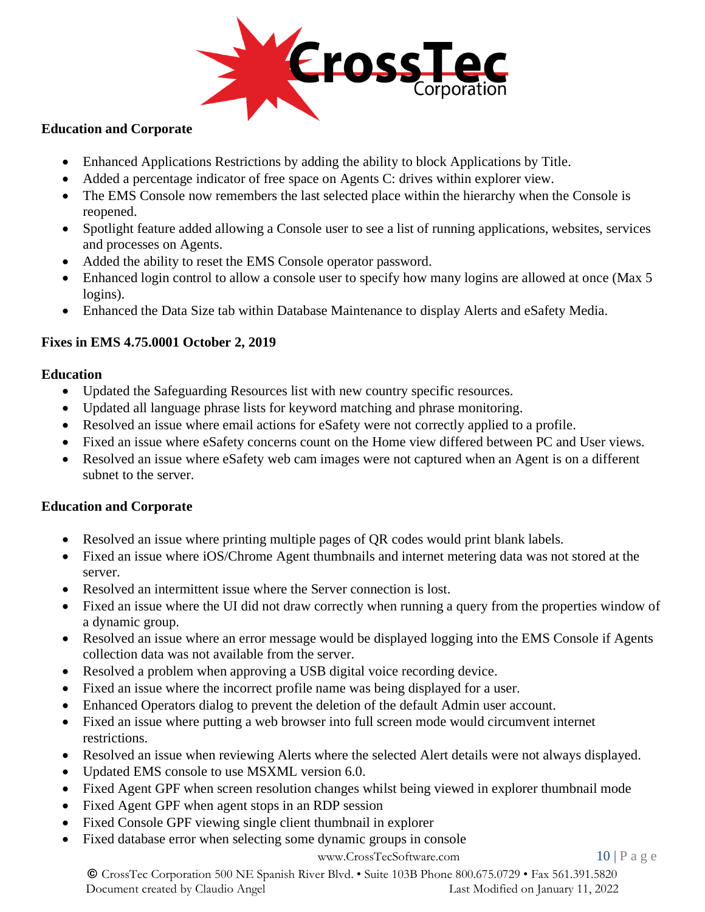

#### **Education and Corporate**

- Enhanced Applications Restrictions by adding the ability to block Applications by Title.
- Added a percentage indicator of free space on Agents C: drives within explorer view.
- The EMS Console now remembers the last selected place within the hierarchy when the Console is reopened.
- Spotlight feature added allowing a Console user to see a list of running applications, websites, services and processes on Agents.
- Added the ability to reset the EMS Console operator password.
- Enhanced login control to allow a console user to specify how many logins are allowed at once (Max 5) logins).
- Enhanced the Data Size tab within Database Maintenance to display Alerts and eSafety Media.

## **Fixes in EMS 4.75.0001 October 2, 2019**

## **Education**

- Updated the Safeguarding Resources list with new country specific resources.
- Updated all language phrase lists for keyword matching and phrase monitoring.
- Resolved an issue where email actions for eSafety were not correctly applied to a profile.
- Fixed an issue where eSafety concerns count on the Home view differed between PC and User views.
- Resolved an issue where eSafety web cam images were not captured when an Agent is on a different subnet to the server.

## **Education and Corporate**

- Resolved an issue where printing multiple pages of QR codes would print blank labels.
- Fixed an issue where iOS/Chrome Agent thumbnails and internet metering data was not stored at the server.
- Resolved an intermittent issue where the Server connection is lost.
- Fixed an issue where the UI did not draw correctly when running a query from the properties window of a dynamic group.
- Resolved an issue where an error message would be displayed logging into the EMS Console if Agents collection data was not available from the server.
- Resolved a problem when approving a USB digital voice recording device.
- Fixed an issue where the incorrect profile name was being displayed for a user.
- Enhanced Operators dialog to prevent the deletion of the default Admin user account.
- Fixed an issue where putting a web browser into full screen mode would circumvent internet restrictions.
- Resolved an issue when reviewing Alerts where the selected Alert details were not always displayed.
- Updated EMS console to use MSXML version 6.0.
- Fixed Agent GPF when screen resolution changes whilst being viewed in explorer thumbnail mode
- Fixed Agent GPF when agent stops in an RDP session
- Fixed Console GPF viewing single client thumbnail in explorer
- Fixed database error when selecting some dynamic groups in console

## [www.CrossTecSoftware.com](http://www.crosstecsoftware.com/) 10 | P a g e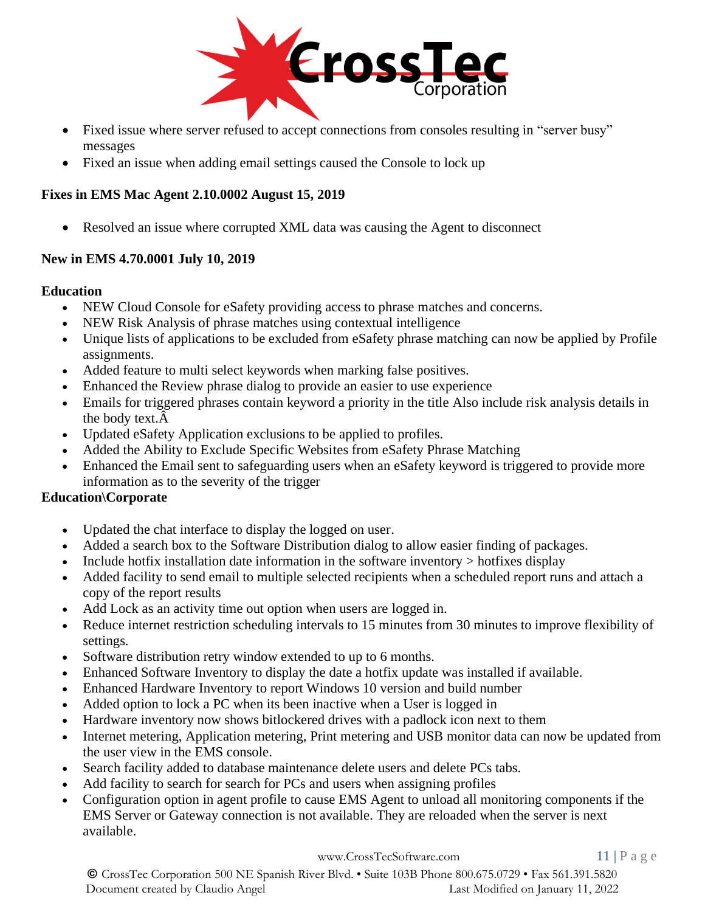

- Fixed issue where server refused to accept connections from consoles resulting in "server busy" messages
- Fixed an issue when adding email settings caused the Console to lock up

## **Fixes in EMS Mac Agent 2.10.0002 August 15, 2019**

• Resolved an issue where corrupted XML data was causing the Agent to disconnect

## **New in EMS 4.70.0001 July 10, 2019**

## **Education**

- NEW Cloud Console for eSafety providing access to phrase matches and concerns.
- NEW Risk Analysis of phrase matches using contextual intelligence
- Unique lists of applications to be excluded from eSafety phrase matching can now be applied by Profile assignments.
- Added feature to multi select keywords when marking false positives.
- Enhanced the Review phrase dialog to provide an easier to use experience
- Emails for triggered phrases contain keyword a priority in the title Also include risk analysis details in the body text.Â
- Updated eSafety Application exclusions to be applied to profiles.
- Added the Ability to Exclude Specific Websites from eSafety Phrase Matching
- Enhanced the Email sent to safeguarding users when an eSafety keyword is triggered to provide more information as to the severity of the trigger

# **Education\Corporate**

- Updated the chat interface to display the logged on user.
- Added a search box to the Software Distribution dialog to allow easier finding of packages.
- Include hotfix installation date information in the software inventory  $>$  hotfixes display
- Added facility to send email to multiple selected recipients when a scheduled report runs and attach a copy of the report results
- Add Lock as an activity time out option when users are logged in.
- Reduce internet restriction scheduling intervals to 15 minutes from 30 minutes to improve flexibility of settings.
- Software distribution retry window extended to up to 6 months.
- Enhanced Software Inventory to display the date a hotfix update was installed if available.
- Enhanced Hardware Inventory to report Windows 10 version and build number
- Added option to lock a PC when its been inactive when a User is logged in
- Hardware inventory now shows bitlockered drives with a padlock icon next to them
- Internet metering, Application metering, Print metering and USB monitor data can now be updated from the user view in the EMS console.
- Search facility added to database maintenance delete users and delete PCs tabs.
- Add facility to search for search for PCs and users when assigning profiles
- Configuration option in agent profile to cause EMS Agent to unload all monitoring components if the EMS Server or Gateway connection is not available. They are reloaded when the server is next available.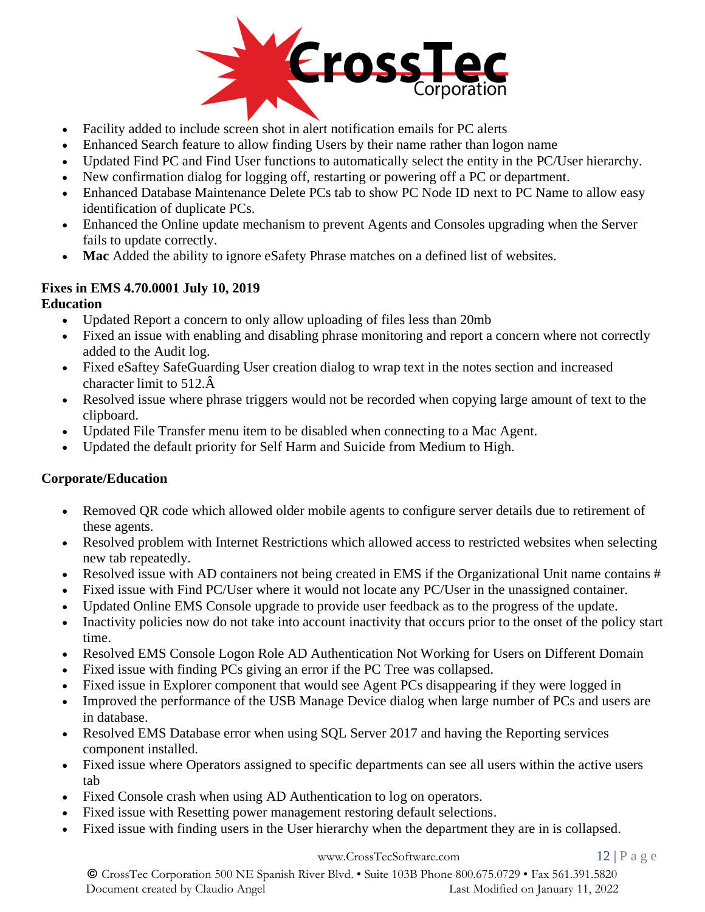

- Facility added to include screen shot in alert notification emails for PC alerts
- Enhanced Search feature to allow finding Users by their name rather than logon name
- Updated Find PC and Find User functions to automatically select the entity in the PC/User hierarchy.
- New confirmation dialog for logging off, restarting or powering off a PC or department.
- Enhanced Database Maintenance Delete PCs tab to show PC Node ID next to PC Name to allow easy identification of duplicate PCs.
- Enhanced the Online update mechanism to prevent Agents and Consoles upgrading when the Server fails to update correctly.
- **Mac** Added the ability to ignore eSafety Phrase matches on a defined list of websites.

# **Fixes in EMS 4.70.0001 July 10, 2019**

## **Education**

- Updated Report a concern to only allow uploading of files less than 20mb
- Fixed an issue with enabling and disabling phrase monitoring and report a concern where not correctly added to the Audit log.
- Fixed eSaftey SafeGuarding User creation dialog to wrap text in the notes section and increased character limit to 512.Â
- Resolved issue where phrase triggers would not be recorded when copying large amount of text to the clipboard.
- Updated File Transfer menu item to be disabled when connecting to a Mac Agent.
- Updated the default priority for Self Harm and Suicide from Medium to High.

# **Corporate/Education**

- Removed QR code which allowed older mobile agents to configure server details due to retirement of these agents.
- Resolved problem with Internet Restrictions which allowed access to restricted websites when selecting new tab repeatedly.
- Resolved issue with AD containers not being created in EMS if the Organizational Unit name contains #
- Fixed issue with Find PC/User where it would not locate any PC/User in the unassigned container.
- Updated Online EMS Console upgrade to provide user feedback as to the progress of the update.
- Inactivity policies now do not take into account inactivity that occurs prior to the onset of the policy start time.
- Resolved EMS Console Logon Role AD Authentication Not Working for Users on Different Domain
- Fixed issue with finding PCs giving an error if the PC Tree was collapsed.
- Fixed issue in Explorer component that would see Agent PCs disappearing if they were logged in
- Improved the performance of the USB Manage Device dialog when large number of PCs and users are in database.
- Resolved EMS Database error when using SQL Server 2017 and having the Reporting services component installed.
- Fixed issue where Operators assigned to specific departments can see all users within the active users tab
- Fixed Console crash when using AD Authentication to log on operators.
- Fixed issue with Resetting power management restoring default selections.
- Fixed issue with finding users in the User hierarchy when the department they are in is collapsed.

#### [www.CrossTecSoftware.com](http://www.crosstecsoftware.com/) 12 | P a g e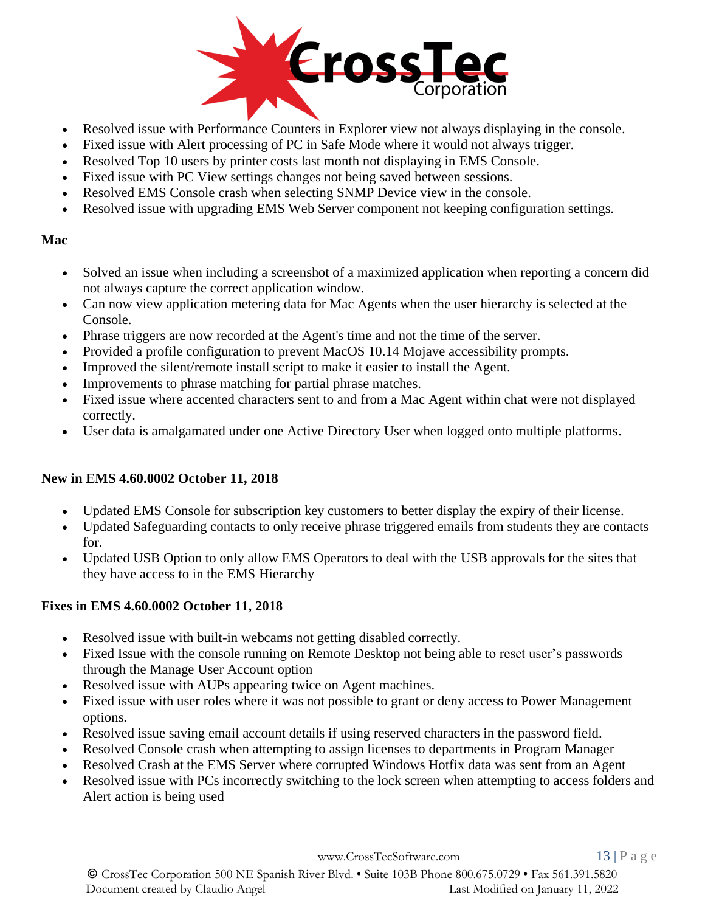

- Resolved issue with Performance Counters in Explorer view not always displaying in the console.
- Fixed issue with Alert processing of PC in Safe Mode where it would not always trigger.
- Resolved Top 10 users by printer costs last month not displaying in EMS Console.
- Fixed issue with PC View settings changes not being saved between sessions.
- Resolved EMS Console crash when selecting SNMP Device view in the console.
- Resolved issue with upgrading EMS Web Server component not keeping configuration settings.

## **Mac**

- Solved an issue when including a screenshot of a maximized application when reporting a concern did not always capture the correct application window.
- Can now view application metering data for Mac Agents when the user hierarchy is selected at the Console.
- Phrase triggers are now recorded at the Agent's time and not the time of the server.
- Provided a profile configuration to prevent MacOS 10.14 Mojave accessibility prompts.
- Improved the silent/remote install script to make it easier to install the Agent.
- Improvements to phrase matching for partial phrase matches.
- Fixed issue where accented characters sent to and from a Mac Agent within chat were not displayed correctly.
- User data is amalgamated under one Active Directory User when logged onto multiple platforms.

# **New in EMS 4.60.0002 October 11, 2018**

- Updated EMS Console for subscription key customers to better display the expiry of their license.
- Updated Safeguarding contacts to only receive phrase triggered emails from students they are contacts for.
- Updated USB Option to only allow EMS Operators to deal with the USB approvals for the sites that they have access to in the EMS Hierarchy

# **Fixes in EMS 4.60.0002 October 11, 2018**

- Resolved issue with built-in webcams not getting disabled correctly.
- Fixed Issue with the console running on Remote Desktop not being able to reset user's passwords through the Manage User Account option
- Resolved issue with AUPs appearing twice on Agent machines.
- Fixed issue with user roles where it was not possible to grant or deny access to Power Management options.
- Resolved issue saving email account details if using reserved characters in the password field.
- Resolved Console crash when attempting to assign licenses to departments in Program Manager
- Resolved Crash at the EMS Server where corrupted Windows Hotfix data was sent from an Agent
- Resolved issue with PCs incorrectly switching to the lock screen when attempting to access folders and Alert action is being used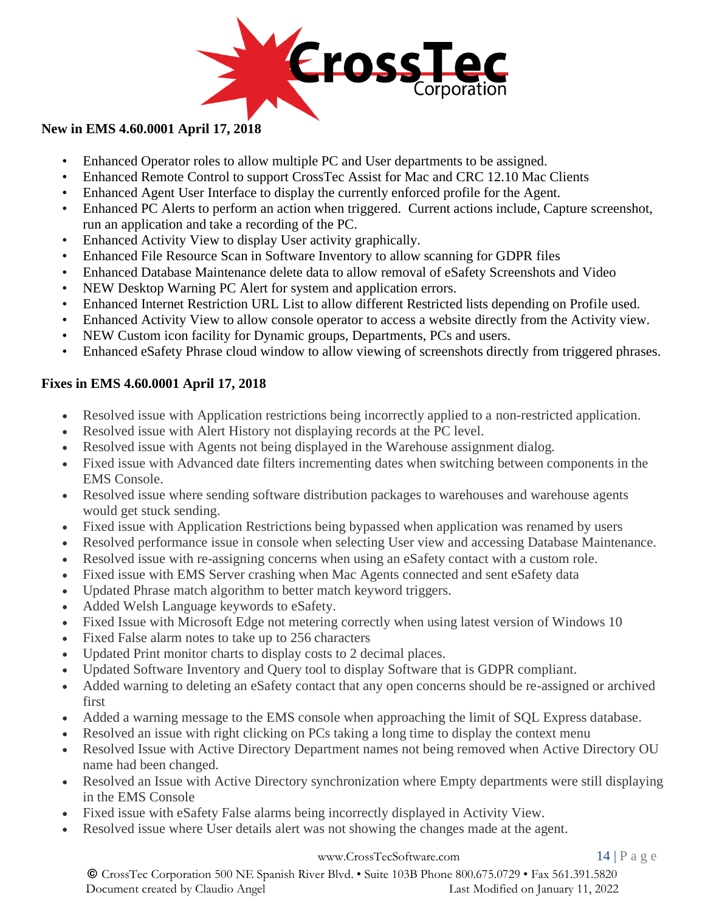

## **New in EMS 4.60.0001 April 17, 2018**

- Enhanced Operator roles to allow multiple PC and User departments to be assigned.
- Enhanced Remote Control to support CrossTec Assist for Mac and CRC 12.10 Mac Clients
- Enhanced Agent User Interface to display the currently enforced profile for the Agent.
- Enhanced PC Alerts to perform an action when triggered. Current actions include, Capture screenshot, run an application and take a recording of the PC.
- Enhanced Activity View to display User activity graphically.
- Enhanced File Resource Scan in Software Inventory to allow scanning for GDPR files
- Enhanced Database Maintenance delete data to allow removal of eSafety Screenshots and Video
- NEW Desktop Warning PC Alert for system and application errors.
- Enhanced Internet Restriction URL List to allow different Restricted lists depending on Profile used.
- Enhanced Activity View to allow console operator to access a website directly from the Activity view.
- NEW Custom icon facility for Dynamic groups, Departments, PCs and users.
- Enhanced eSafety Phrase cloud window to allow viewing of screenshots directly from triggered phrases.

# **Fixes in EMS 4.60.0001 April 17, 2018**

- Resolved issue with Application restrictions being incorrectly applied to a non-restricted application.
- Resolved issue with Alert History not displaying records at the PC level.
- Resolved issue with Agents not being displayed in the Warehouse assignment dialog.
- Fixed issue with Advanced date filters incrementing dates when switching between components in the EMS Console.
- Resolved issue where sending software distribution packages to warehouses and warehouse agents would get stuck sending.
- Fixed issue with Application Restrictions being bypassed when application was renamed by users
- Resolved performance issue in console when selecting User view and accessing Database Maintenance.
- Resolved issue with re-assigning concerns when using an eSafety contact with a custom role.
- Fixed issue with EMS Server crashing when Mac Agents connected and sent eSafety data
- Updated Phrase match algorithm to better match keyword triggers.
- Added Welsh Language keywords to eSafety.
- Fixed Issue with Microsoft Edge not metering correctly when using latest version of Windows 10
- Fixed False alarm notes to take up to 256 characters
- Updated Print monitor charts to display costs to 2 decimal places.
- Updated Software Inventory and Query tool to display Software that is GDPR compliant.
- Added warning to deleting an eSafety contact that any open concerns should be re-assigned or archived first
- Added a warning message to the EMS console when approaching the limit of SQL Express database.
- Resolved an issue with right clicking on PCs taking a long time to display the context menu
- Resolved Issue with Active Directory Department names not being removed when Active Directory OU name had been changed.
- Resolved an Issue with Active Directory synchronization where Empty departments were still displaying in the EMS Console
- Fixed issue with eSafety False alarms being incorrectly displayed in Activity View.
- Resolved issue where User details alert was not showing the changes made at the agent.

#### [www.CrossTecSoftware.com](http://www.crosstecsoftware.com/) 14 | P a g e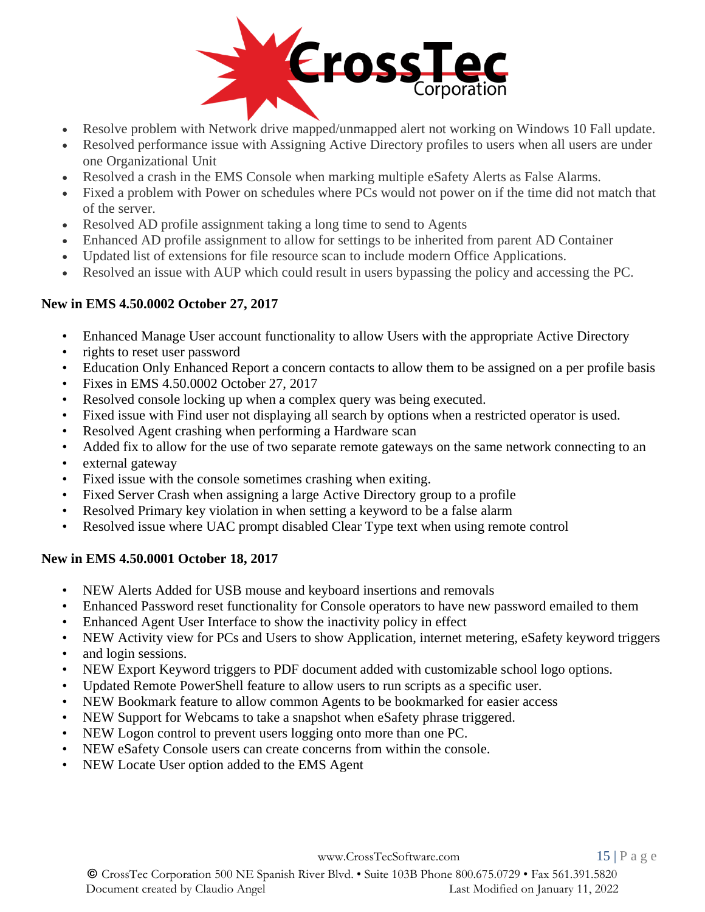

- Resolve problem with Network drive mapped/unmapped alert not working on Windows 10 Fall update.
- Resolved performance issue with Assigning Active Directory profiles to users when all users are under one Organizational Unit
- Resolved a crash in the EMS Console when marking multiple eSafety Alerts as False Alarms.
- Fixed a problem with Power on schedules where PCs would not power on if the time did not match that of the server.
- Resolved AD profile assignment taking a long time to send to Agents
- Enhanced AD profile assignment to allow for settings to be inherited from parent AD Container
- Updated list of extensions for file resource scan to include modern Office Applications.
- Resolved an issue with AUP which could result in users bypassing the policy and accessing the PC.

## **New in EMS 4.50.0002 October 27, 2017**

- Enhanced Manage User account functionality to allow Users with the appropriate Active Directory
- rights to reset user password
- Education Only Enhanced Report a concern contacts to allow them to be assigned on a per profile basis
- Fixes in EMS 4.50.0002 October 27, 2017
- Resolved console locking up when a complex query was being executed.
- Fixed issue with Find user not displaying all search by options when a restricted operator is used.
- Resolved Agent crashing when performing a Hardware scan
- Added fix to allow for the use of two separate remote gateways on the same network connecting to an
- external gateway
- Fixed issue with the console sometimes crashing when exiting.
- Fixed Server Crash when assigning a large Active Directory group to a profile
- Resolved Primary key violation in when setting a keyword to be a false alarm
- Resolved issue where UAC prompt disabled Clear Type text when using remote control

## **New in EMS 4.50.0001 October 18, 2017**

- NEW Alerts Added for USB mouse and keyboard insertions and removals
- Enhanced Password reset functionality for Console operators to have new password emailed to them
- Enhanced Agent User Interface to show the inactivity policy in effect
- NEW Activity view for PCs and Users to show Application, internet metering, eSafety keyword triggers
- and login sessions.
- NEW Export Keyword triggers to PDF document added with customizable school logo options.
- Updated Remote PowerShell feature to allow users to run scripts as a specific user.
- NEW Bookmark feature to allow common Agents to be bookmarked for easier access
- NEW Support for Webcams to take a snapshot when eSafety phrase triggered.
- NEW Logon control to prevent users logging onto more than one PC.
- NEW eSafety Console users can create concerns from within the console.
- NEW Locate User option added to the EMS Agent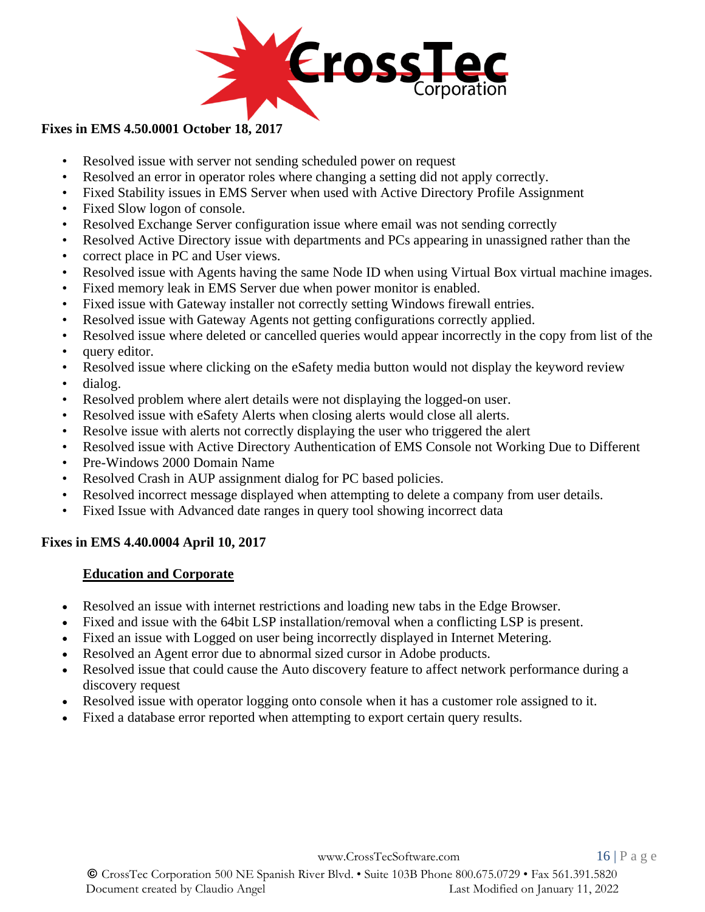

## **Fixes in EMS 4.50.0001 October 18, 2017**

- Resolved issue with server not sending scheduled power on request
- Resolved an error in operator roles where changing a setting did not apply correctly.
- Fixed Stability issues in EMS Server when used with Active Directory Profile Assignment
- Fixed Slow logon of console.
- Resolved Exchange Server configuration issue where email was not sending correctly
- Resolved Active Directory issue with departments and PCs appearing in unassigned rather than the
- correct place in PC and User views.
- Resolved issue with Agents having the same Node ID when using Virtual Box virtual machine images.
- Fixed memory leak in EMS Server due when power monitor is enabled.
- Fixed issue with Gateway installer not correctly setting Windows firewall entries.
- Resolved issue with Gateway Agents not getting configurations correctly applied.
- Resolved issue where deleted or cancelled queries would appear incorrectly in the copy from list of the
- query editor.
- Resolved issue where clicking on the eSafety media button would not display the keyword review
- dialog.
- Resolved problem where alert details were not displaying the logged-on user.
- Resolved issue with eSafety Alerts when closing alerts would close all alerts.
- Resolve issue with alerts not correctly displaying the user who triggered the alert
- Resolved issue with Active Directory Authentication of EMS Console not Working Due to Different
- Pre-Windows 2000 Domain Name
- Resolved Crash in AUP assignment dialog for PC based policies.
- Resolved incorrect message displayed when attempting to delete a company from user details.
- Fixed Issue with Advanced date ranges in query tool showing incorrect data

## **Fixes in EMS 4.40.0004 April 10, 2017**

## **Education and Corporate**

- Resolved an issue with internet restrictions and loading new tabs in the Edge Browser.
- Fixed and issue with the 64bit LSP installation/removal when a conflicting LSP is present.
- Fixed an issue with Logged on user being incorrectly displayed in Internet Metering.
- Resolved an Agent error due to abnormal sized cursor in Adobe products.
- Resolved issue that could cause the Auto discovery feature to affect network performance during a discovery request
- Resolved issue with operator logging onto console when it has a customer role assigned to it.
- Fixed a database error reported when attempting to export certain query results.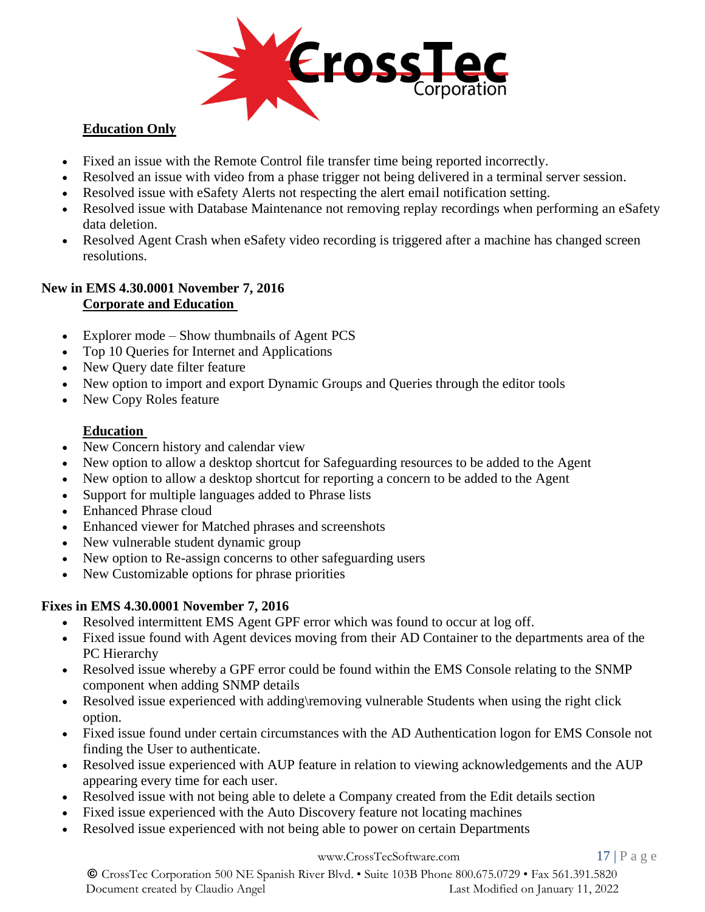

# **Education Only**

- Fixed an issue with the Remote Control file transfer time being reported incorrectly.
- Resolved an issue with video from a phase trigger not being delivered in a terminal server session.
- Resolved issue with eSafety Alerts not respecting the alert email notification setting.
- Resolved issue with Database Maintenance not removing replay recordings when performing an eSafety data deletion.
- Resolved Agent Crash when eSafety video recording is triggered after a machine has changed screen resolutions.

#### **New in EMS 4.30.0001 November 7, 2016 Corporate and Education**

- Explorer mode Show thumbnails of Agent PCS
- Top 10 Queries for Internet and Applications
- New Query date filter feature
- New option to import and export Dynamic Groups and Queries through the editor tools
- New Copy Roles feature

# **Education**

- New Concern history and calendar view
- New option to allow a desktop shortcut for Safeguarding resources to be added to the Agent
- New option to allow a desktop shortcut for reporting a concern to be added to the Agent
- Support for multiple languages added to Phrase lists
- Enhanced Phrase cloud
- Enhanced viewer for Matched phrases and screenshots
- New vulnerable student dynamic group
- New option to Re-assign concerns to other safeguarding users
- New Customizable options for phrase priorities

# **Fixes in EMS 4.30.0001 November 7, 2016**

- Resolved intermittent EMS Agent GPF error which was found to occur at log off.
- Fixed issue found with Agent devices moving from their AD Container to the departments area of the PC Hierarchy
- Resolved issue whereby a GPF error could be found within the EMS Console relating to the SNMP component when adding SNMP details
- Resolved issue experienced with adding\removing vulnerable Students when using the right click option.
- Fixed issue found under certain circumstances with the AD Authentication logon for EMS Console not finding the User to authenticate.
- Resolved issue experienced with AUP feature in relation to viewing acknowledgements and the AUP appearing every time for each user.
- Resolved issue with not being able to delete a Company created from the Edit details section
- Fixed issue experienced with the Auto Discovery feature not locating machines
- Resolved issue experienced with not being able to power on certain Departments

#### [www.CrossTecSoftware.com](http://www.crosstecsoftware.com/) 17 | P a g e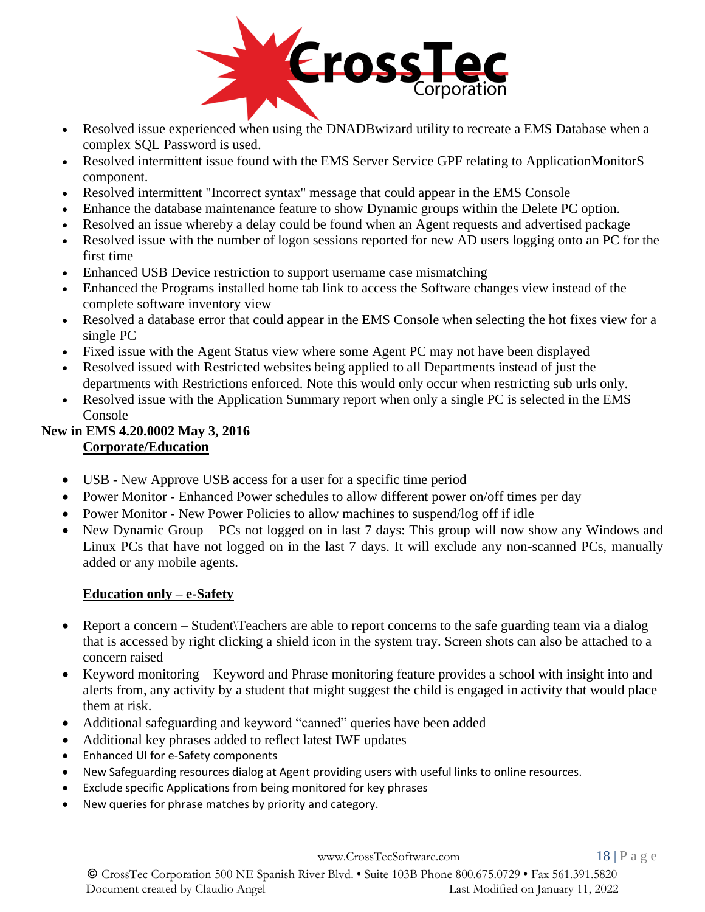

- Resolved issue experienced when using the DNADB wizard utility to recreate a EMS Database when a complex SQL Password is used.
- Resolved intermittent issue found with the EMS Server Service GPF relating to ApplicationMonitorS component.
- Resolved intermittent "Incorrect syntax" message that could appear in the EMS Console
- Enhance the database maintenance feature to show Dynamic groups within the Delete PC option.
- Resolved an issue whereby a delay could be found when an Agent requests and advertised package
- Resolved issue with the number of logon sessions reported for new AD users logging onto an PC for the first time
- Enhanced USB Device restriction to support username case mismatching
- Enhanced the Programs installed home tab link to access the Software changes view instead of the complete software inventory view
- Resolved a database error that could appear in the EMS Console when selecting the hot fixes view for a single PC
- Fixed issue with the Agent Status view where some Agent PC may not have been displayed
- Resolved issued with Restricted websites being applied to all Departments instead of just the departments with Restrictions enforced. Note this would only occur when restricting sub urls only.
- Resolved issue with the Application Summary report when only a single PC is selected in the EMS Console

#### **New in EMS 4.20.0002 May 3, 2016 Corporate/Education**

- USB New Approve USB access for a user for a specific time period
- Power Monitor Enhanced Power schedules to allow different power on/off times per day
- Power Monitor New Power Policies to allow machines to suspend/log off if idle
- New Dynamic Group PCs not logged on in last 7 days: This group will now show any Windows and Linux PCs that have not logged on in the last 7 days. It will exclude any non-scanned PCs, manually added or any mobile agents.

# **Education only – e-Safety**

- Report a concern Student Teachers are able to report concerns to the safe guarding team via a dialog that is accessed by right clicking a shield icon in the system tray. Screen shots can also be attached to a concern raised
- Keyword monitoring Keyword and Phrase monitoring feature provides a school with insight into and alerts from, any activity by a student that might suggest the child is engaged in activity that would place them at risk.
- Additional safeguarding and keyword "canned" queries have been added
- Additional key phrases added to reflect latest IWF updates
- Enhanced UI for e-Safety components
- New Safeguarding resources dialog at Agent providing users with useful links to online resources.
- Exclude specific Applications from being monitored for key phrases
- New queries for phrase matches by priority and category.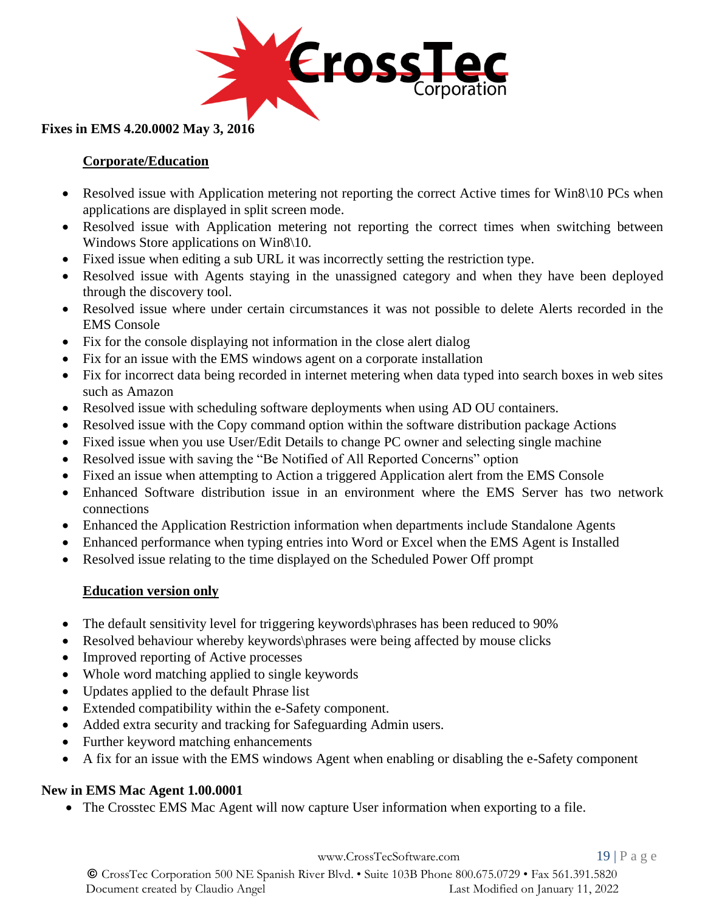

## **Fixes in EMS 4.20.0002 May 3, 2016**

## **Corporate/Education**

- Resolved issue with Application metering not reporting the correct Active times for Win8\10 PCs when applications are displayed in split screen mode.
- Resolved issue with Application metering not reporting the correct times when switching between Windows Store applications on Win8\10.
- Fixed issue when editing a sub URL it was incorrectly setting the restriction type.
- Resolved issue with Agents staying in the unassigned category and when they have been deployed through the discovery tool.
- Resolved issue where under certain circumstances it was not possible to delete Alerts recorded in the EMS Console
- Fix for the console displaying not information in the close alert dialog
- Fix for an issue with the EMS windows agent on a corporate installation
- Fix for incorrect data being recorded in internet metering when data typed into search boxes in web sites such as Amazon
- Resolved issue with scheduling software deployments when using AD OU containers.
- Resolved issue with the Copy command option within the software distribution package Actions
- Fixed issue when you use User/Edit Details to change PC owner and selecting single machine
- Resolved issue with saving the "Be Notified of All Reported Concerns" option
- Fixed an issue when attempting to Action a triggered Application alert from the EMS Console
- Enhanced Software distribution issue in an environment where the EMS Server has two network connections
- Enhanced the Application Restriction information when departments include Standalone Agents
- Enhanced performance when typing entries into Word or Excel when the EMS Agent is Installed
- Resolved issue relating to the time displayed on the Scheduled Power Off prompt

## **Education version only**

- The default sensitivity level for triggering keywords\phrases has been reduced to 90%
- Resolved behaviour whereby keywords\phrases were being affected by mouse clicks
- Improved reporting of Active processes
- Whole word matching applied to single keywords
- Updates applied to the default Phrase list
- Extended compatibility within the e-Safety component.
- Added extra security and tracking for Safeguarding Admin users.
- Further keyword matching enhancements
- A fix for an issue with the EMS windows Agent when enabling or disabling the e-Safety component

## **New in EMS Mac Agent 1.00.0001**

• The Crosstec EMS Mac Agent will now capture User information when exporting to a file.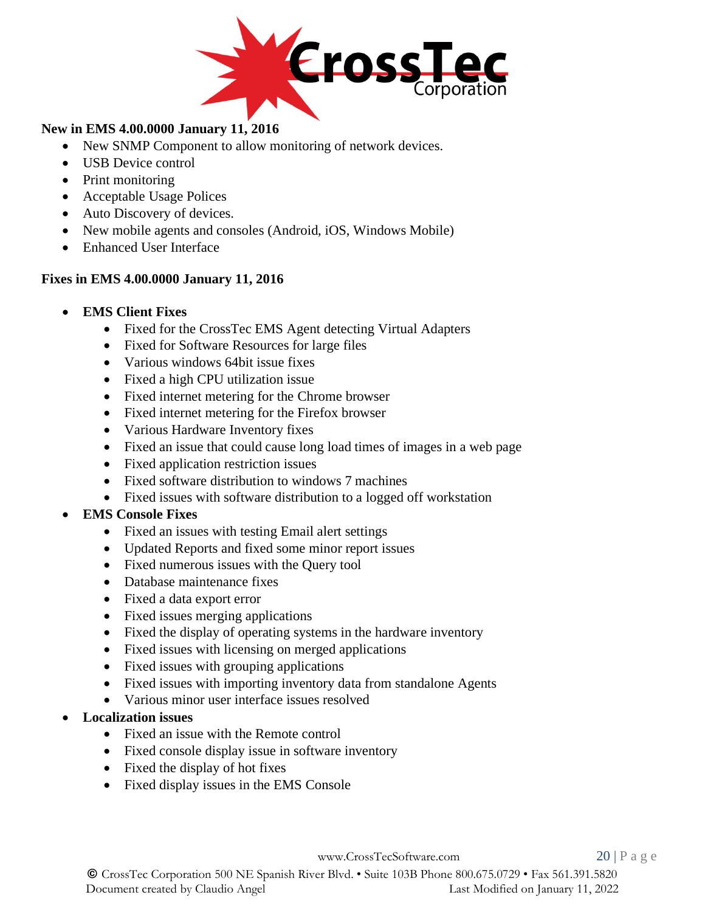

## **New in EMS 4.00.0000 January 11, 2016**

- New SNMP Component to allow monitoring of network devices.
- USB Device control
- Print monitoring
- Acceptable Usage Polices
- Auto Discovery of devices.
- New mobile agents and consoles (Android, iOS, Windows Mobile)
- Enhanced User Interface

## **Fixes in EMS 4.00.0000 January 11, 2016**

- **EMS Client Fixes**
	- Fixed for the CrossTec EMS Agent detecting Virtual Adapters
	- Fixed for Software Resources for large files
	- Various windows 64bit issue fixes
	- Fixed a high CPU utilization issue
	- Fixed internet metering for the Chrome browser
	- Fixed internet metering for the Firefox browser
	- Various Hardware Inventory fixes
	- Fixed an issue that could cause long load times of images in a web page
	- Fixed application restriction issues
	- Fixed software distribution to windows 7 machines
	- Fixed issues with software distribution to a logged off workstation

# • **EMS Console Fixes**

- Fixed an issues with testing Email alert settings
- Updated Reports and fixed some minor report issues
- Fixed numerous issues with the Query tool
- Database maintenance fixes
- Fixed a data export error
- Fixed issues merging applications
- Fixed the display of operating systems in the hardware inventory
- Fixed issues with licensing on merged applications
- Fixed issues with grouping applications
- Fixed issues with importing inventory data from standalone Agents
- Various minor user interface issues resolved
- **Localization issues**
	- Fixed an issue with the Remote control
	- Fixed console display issue in software inventory
	- Fixed the display of hot fixes
	- Fixed display issues in the EMS Console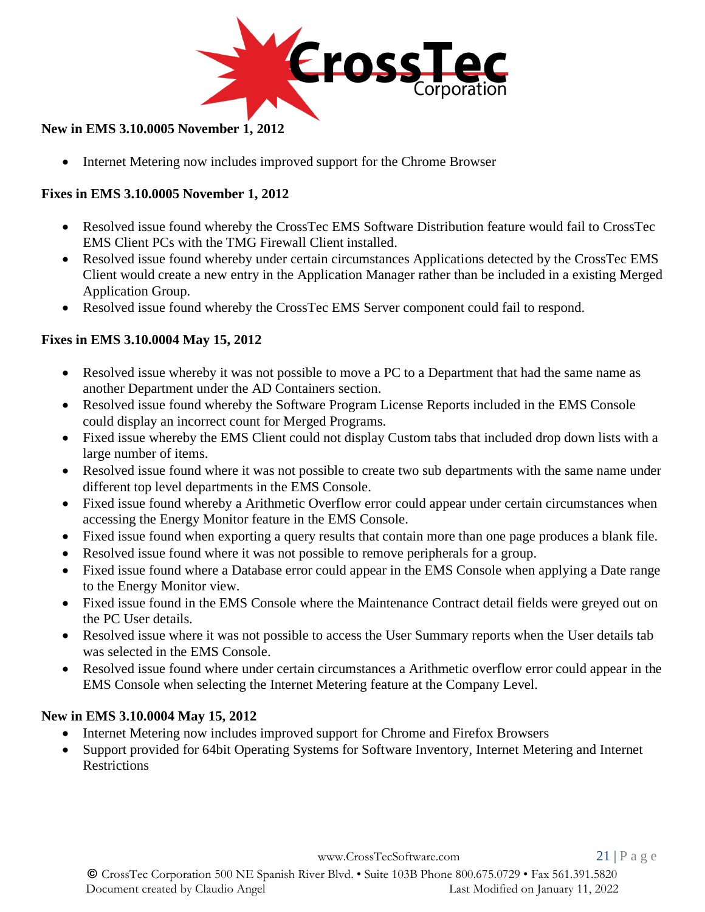

## **New in EMS 3.10.0005 November 1, 2012**

• Internet Metering now includes improved support for the Chrome Browser

## **Fixes in EMS 3.10.0005 November 1, 2012**

- Resolved issue found whereby the CrossTec EMS Software Distribution feature would fail to CrossTec EMS Client PCs with the TMG Firewall Client installed.
- Resolved issue found whereby under certain circumstances Applications detected by the CrossTec EMS Client would create a new entry in the Application Manager rather than be included in a existing Merged Application Group.
- Resolved issue found whereby the CrossTec EMS Server component could fail to respond.

## **Fixes in EMS 3.10.0004 May 15, 2012**

- Resolved issue whereby it was not possible to move a PC to a Department that had the same name as another Department under the AD Containers section.
- Resolved issue found whereby the Software Program License Reports included in the EMS Console could display an incorrect count for Merged Programs.
- Fixed issue whereby the EMS Client could not display Custom tabs that included drop down lists with a large number of items.
- Resolved issue found where it was not possible to create two sub departments with the same name under different top level departments in the EMS Console.
- Fixed issue found whereby a Arithmetic Overflow error could appear under certain circumstances when accessing the Energy Monitor feature in the EMS Console.
- Fixed issue found when exporting a query results that contain more than one page produces a blank file.
- Resolved issue found where it was not possible to remove peripherals for a group.
- Fixed issue found where a Database error could appear in the EMS Console when applying a Date range to the Energy Monitor view.
- Fixed issue found in the EMS Console where the Maintenance Contract detail fields were greyed out on the PC User details.
- Resolved issue where it was not possible to access the User Summary reports when the User details tab was selected in the EMS Console.
- Resolved issue found where under certain circumstances a Arithmetic overflow error could appear in the EMS Console when selecting the Internet Metering feature at the Company Level.

## **New in EMS 3.10.0004 May 15, 2012**

- Internet Metering now includes improved support for Chrome and Firefox Browsers
- Support provided for 64bit Operating Systems for Software Inventory, Internet Metering and Internet **Restrictions**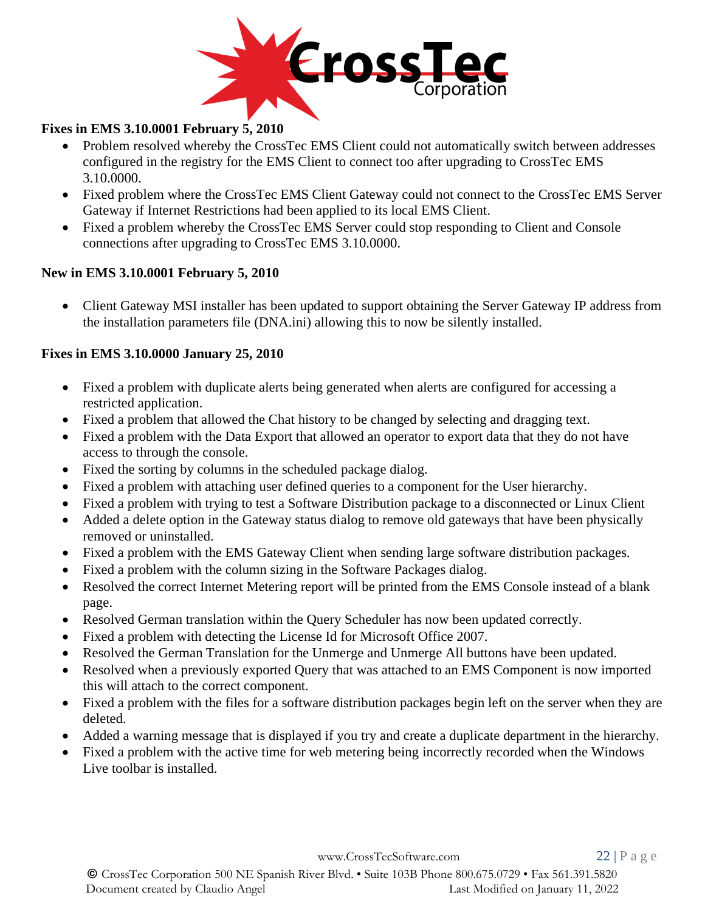

## **Fixes in EMS 3.10.0001 February 5, 2010**

- Problem resolved whereby the CrossTec EMS Client could not automatically switch between addresses configured in the registry for the EMS Client to connect too after upgrading to CrossTec EMS 3.10.0000.
- Fixed problem where the CrossTec EMS Client Gateway could not connect to the CrossTec EMS Server Gateway if Internet Restrictions had been applied to its local EMS Client.
- Fixed a problem whereby the CrossTec EMS Server could stop responding to Client and Console connections after upgrading to CrossTec EMS 3.10.0000.

## **New in EMS 3.10.0001 February 5, 2010**

• Client Gateway MSI installer has been updated to support obtaining the Server Gateway IP address from the installation parameters file (DNA.ini) allowing this to now be silently installed.

## **Fixes in EMS 3.10.0000 January 25, 2010**

- Fixed a problem with duplicate alerts being generated when alerts are configured for accessing a restricted application.
- Fixed a problem that allowed the Chat history to be changed by selecting and dragging text.
- Fixed a problem with the Data Export that allowed an operator to export data that they do not have access to through the console.
- Fixed the sorting by columns in the scheduled package dialog.
- Fixed a problem with attaching user defined queries to a component for the User hierarchy.
- Fixed a problem with trying to test a Software Distribution package to a disconnected or Linux Client
- Added a delete option in the Gateway status dialog to remove old gateways that have been physically removed or uninstalled.
- Fixed a problem with the EMS Gateway Client when sending large software distribution packages.
- Fixed a problem with the column sizing in the Software Packages dialog.
- Resolved the correct Internet Metering report will be printed from the EMS Console instead of a blank page.
- Resolved German translation within the Query Scheduler has now been updated correctly.
- Fixed a problem with detecting the License Id for Microsoft Office 2007.
- Resolved the German Translation for the Unmerge and Unmerge All buttons have been updated.
- Resolved when a previously exported Query that was attached to an EMS Component is now imported this will attach to the correct component.
- Fixed a problem with the files for a software distribution packages begin left on the server when they are deleted.
- Added a warning message that is displayed if you try and create a duplicate department in the hierarchy.
- Fixed a problem with the active time for web metering being incorrectly recorded when the Windows Live toolbar is installed.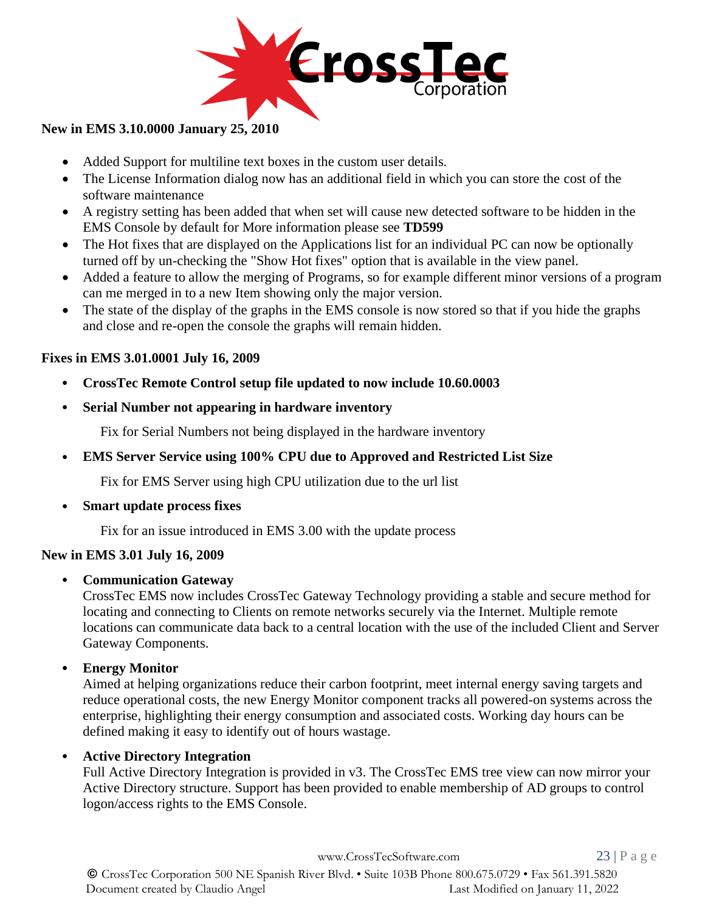

## **New in EMS 3.10.0000 January 25, 2010**

- Added Support for multiline text boxes in the custom user details.
- The License Information dialog now has an additional field in which you can store the cost of the software maintenance
- A registry setting has been added that when set will cause new detected software to be hidden in the EMS Console by default for More information please see **[TD599](http://www.netsupportsoftware.com/support/td.asp?td=599)**
- The Hot fixes that are displayed on the Applications list for an individual PC can now be optionally turned off by un-checking the "Show Hot fixes" option that is available in the view panel.
- Added a feature to allow the merging of Programs, so for example different minor versions of a program can me merged in to a new Item showing only the major version.
- The state of the display of the graphs in the EMS console is now stored so that if you hide the graphs and close and re-open the console the graphs will remain hidden.

## **Fixes in EMS 3.01.0001 July 16, 2009**

- **CrossTec Remote Control setup file updated to now include 10.60.0003**
- **Serial Number not appearing in hardware inventory**

Fix for Serial Numbers not being displayed in the hardware inventory

• **EMS Server Service using 100% CPU due to Approved and Restricted List Size**

Fix for EMS Server using high CPU utilization due to the url list

• **Smart update process fixes**

Fix for an issue introduced in EMS 3.00 with the update process

## **New in EMS 3.01 July 16, 2009**

## • **Communication Gateway**

CrossTec EMS now includes CrossTec Gateway Technology providing a stable and secure method for locating and connecting to Clients on remote networks securely via the Internet. Multiple remote locations can communicate data back to a central location with the use of the included Client and Server Gateway Components.

• **Energy Monitor**

Aimed at helping organizations reduce their carbon footprint, meet internal energy saving targets and reduce operational costs, the new Energy Monitor component tracks all powered-on systems across the enterprise, highlighting their energy consumption and associated costs. Working day hours can be defined making it easy to identify out of hours wastage.

## • **Active Directory Integration**

Full Active Directory Integration is provided in v3. The CrossTec EMS tree view can now mirror your Active Directory structure. Support has been provided to enable membership of AD groups to control logon/access rights to the EMS Console.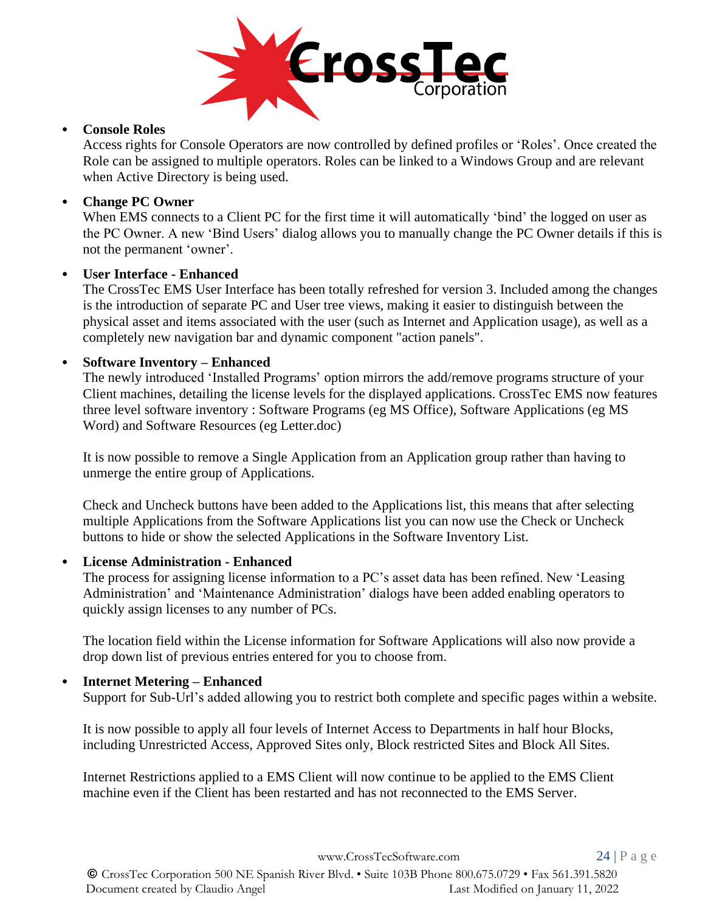

#### • **Console Roles**

Access rights for Console Operators are now controlled by defined profiles or 'Roles'. Once created the Role can be assigned to multiple operators. Roles can be linked to a Windows Group and are relevant when Active Directory is being used.

## • **Change PC Owner**

When EMS connects to a Client PC for the first time it will automatically 'bind' the logged on user as the PC Owner. A new 'Bind Users' dialog allows you to manually change the PC Owner details if this is not the permanent 'owner'.

#### • **User Interface - Enhanced**

The CrossTec EMS User Interface has been totally refreshed for version 3. Included among the changes is the introduction of separate PC and User tree views, making it easier to distinguish between the physical asset and items associated with the user (such as Internet and Application usage), as well as a completely new navigation bar and dynamic component "action panels".

#### • **Software Inventory – Enhanced**

The newly introduced 'Installed Programs' option mirrors the add/remove programs structure of your Client machines, detailing the license levels for the displayed applications. CrossTec EMS now features three level software inventory : Software Programs (eg MS Office), Software Applications (eg MS Word) and Software Resources (eg Letter.doc)

It is now possible to remove a Single Application from an Application group rather than having to unmerge the entire group of Applications.

Check and Uncheck buttons have been added to the Applications list, this means that after selecting multiple Applications from the Software Applications list you can now use the Check or Uncheck buttons to hide or show the selected Applications in the Software Inventory List.

#### • **License Administration - Enhanced**

The process for assigning license information to a PC's asset data has been refined. New 'Leasing Administration' and 'Maintenance Administration' dialogs have been added enabling operators to quickly assign licenses to any number of PCs.

The location field within the License information for Software Applications will also now provide a drop down list of previous entries entered for you to choose from.

## • **Internet Metering – Enhanced**

Support for Sub-Url's added allowing you to restrict both complete and specific pages within a website.

It is now possible to apply all four levels of Internet Access to Departments in half hour Blocks, including Unrestricted Access, Approved Sites only, Block restricted Sites and Block All Sites.

Internet Restrictions applied to a EMS Client will now continue to be applied to the EMS Client machine even if the Client has been restarted and has not reconnected to the EMS Server.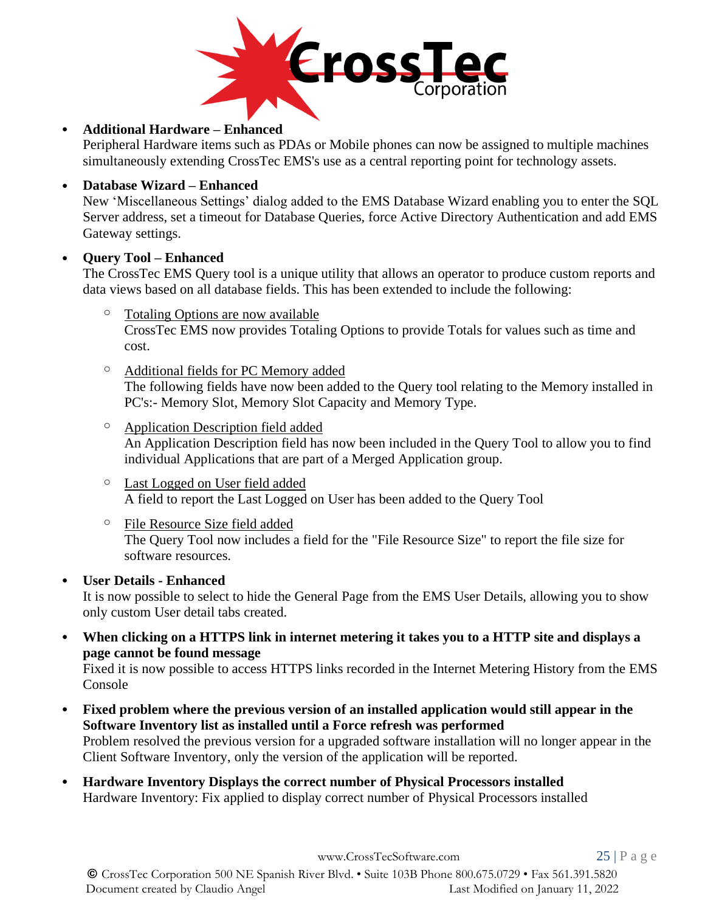

## • **Additional Hardware – Enhanced**

Peripheral Hardware items such as PDAs or Mobile phones can now be assigned to multiple machines simultaneously extending CrossTec EMS's use as a central reporting point for technology assets.

#### • **Database Wizard – Enhanced**

New 'Miscellaneous Settings' dialog added to the EMS Database Wizard enabling you to enter the SQL Server address, set a timeout for Database Queries, force Active Directory Authentication and add EMS Gateway settings.

#### • **Query Tool – Enhanced**

The CrossTec EMS Query tool is a unique utility that allows an operator to produce custom reports and data views based on all database fields. This has been extended to include the following:

- Totaling Options are now available CrossTec EMS now provides Totaling Options to provide Totals for values such as time and cost.
- o Additional fields for PC Memory added The following fields have now been added to the Query tool relating to the Memory installed in PC's:- Memory Slot, Memory Slot Capacity and Memory Type.
- o Application Description field added An Application Description field has now been included in the Query Tool to allow you to find individual Applications that are part of a Merged Application group.
- o Last Logged on User field added A field to report the Last Logged on User has been added to the Query Tool
- o File Resource Size field added The Query Tool now includes a field for the "File Resource Size" to report the file size for software resources.

## • **User Details - Enhanced**

It is now possible to select to hide the General Page from the EMS User Details, allowing you to show only custom User detail tabs created.

• **When clicking on a HTTPS link in internet metering it takes you to a HTTP site and displays a page cannot be found message**

Fixed it is now possible to access HTTPS links recorded in the Internet Metering History from the EMS Console

- **Fixed problem where the previous version of an installed application would still appear in the Software Inventory list as installed until a Force refresh was performed** Problem resolved the previous version for a upgraded software installation will no longer appear in the Client Software Inventory, only the version of the application will be reported.
- **Hardware Inventory Displays the correct number of Physical Processors installed** Hardware Inventory: Fix applied to display correct number of Physical Processors installed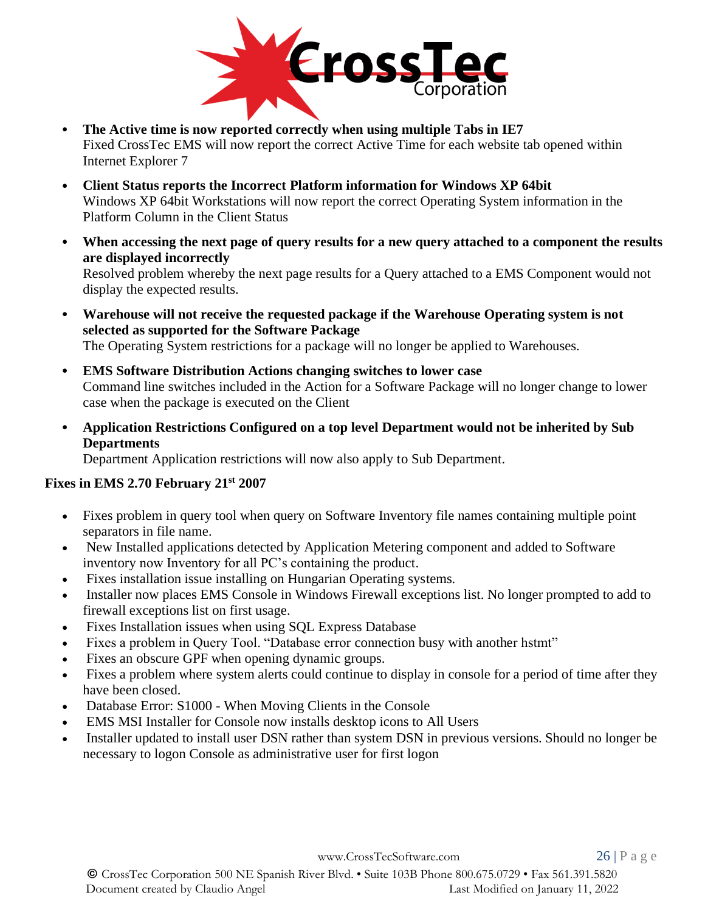

- **The Active time is now reported correctly when using multiple Tabs in IE7** Fixed CrossTec EMS will now report the correct Active Time for each website tab opened within Internet Explorer 7
- **Client Status reports the Incorrect Platform information for Windows XP 64bit** Windows XP 64bit Workstations will now report the correct Operating System information in the Platform Column in the Client Status
- **When accessing the next page of query results for a new query attached to a component the results are displayed incorrectly** Resolved problem whereby the next page results for a Query attached to a EMS Component would not display the expected results.
- **Warehouse will not receive the requested package if the Warehouse Operating system is not selected as supported for the Software Package** The Operating System restrictions for a package will no longer be applied to Warehouses.
- **EMS Software Distribution Actions changing switches to lower case** Command line switches included in the Action for a Software Package will no longer change to lower case when the package is executed on the Client
- **Application Restrictions Configured on a top level Department would not be inherited by Sub Departments**

Department Application restrictions will now also apply to Sub Department.

# **Fixes in EMS 2.70 February 21st 2007**

- Fixes problem in query tool when query on Software Inventory file names containing multiple point separators in file name.
- New Installed applications detected by Application Metering component and added to Software inventory now Inventory for all PC's containing the product.
- Fixes installation issue installing on Hungarian Operating systems.
- Installer now places EMS Console in Windows Firewall exceptions list. No longer prompted to add to firewall exceptions list on first usage.
- Fixes Installation issues when using SQL Express Database
- Fixes a problem in Query Tool. "Database error connection busy with another hstmt"
- Fixes an obscure GPF when opening dynamic groups.
- Fixes a problem where system alerts could continue to display in console for a period of time after they have been closed.
- Database Error: S1000 When Moving Clients in the Console
- EMS MSI Installer for Console now installs desktop icons to All Users
- Installer updated to install user DSN rather than system DSN in previous versions. Should no longer be necessary to logon Console as administrative user for first logon